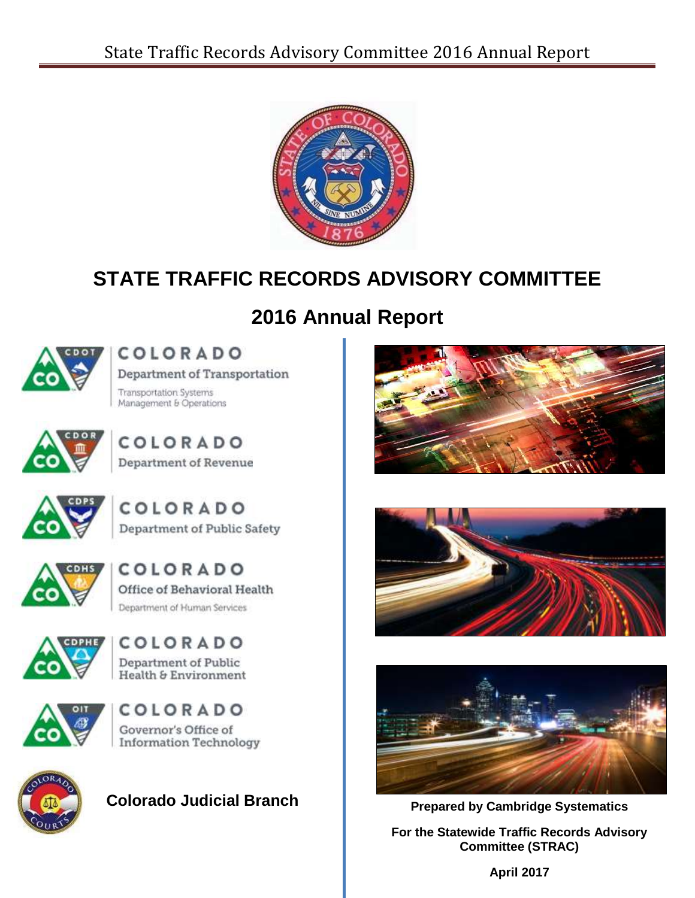

# **STATE TRAFFIC RECORDS ADVISORY COMMITTEE**

# **2016 Annual Report**



# COLORADO Department of Transportation

**Transportation Systems** 

Management & Operations



COLORADO Department of Revenue



COLORADO Department of Public Safety



COLORADO Office of Behavioral Health Department of Human Services











**Colorado Judicial Branch**







**Prepared by Cambridge Systematics**

**For the Statewide Traffic Records Advisory Committee (STRAC)**

**April 2017**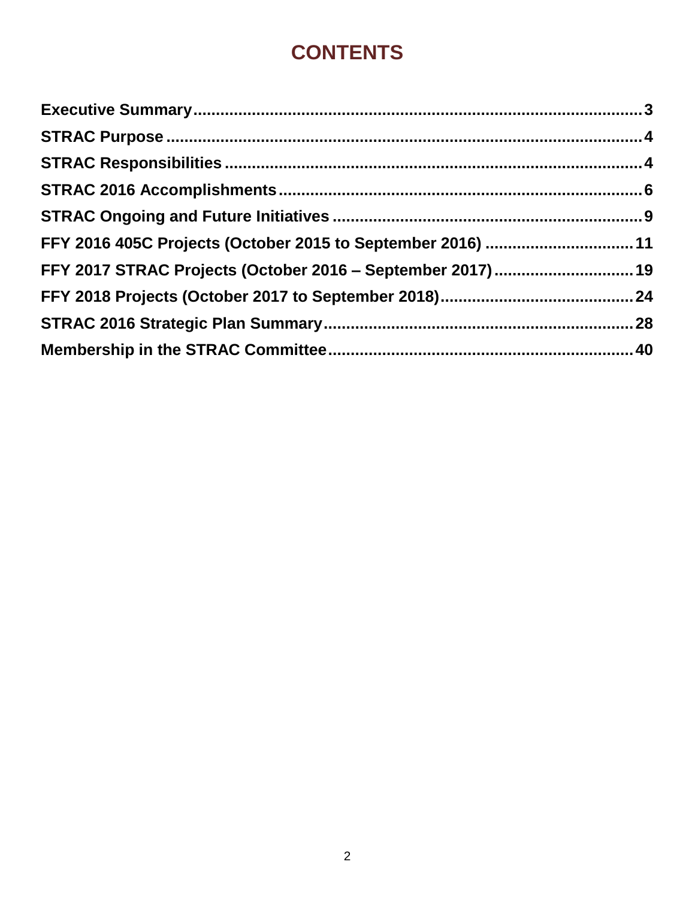# **CONTENTS**

| FFY 2016 405C Projects (October 2015 to September 2016) 11 |  |
|------------------------------------------------------------|--|
| FFY 2017 STRAC Projects (October 2016 - September 2017) 19 |  |
|                                                            |  |
|                                                            |  |
|                                                            |  |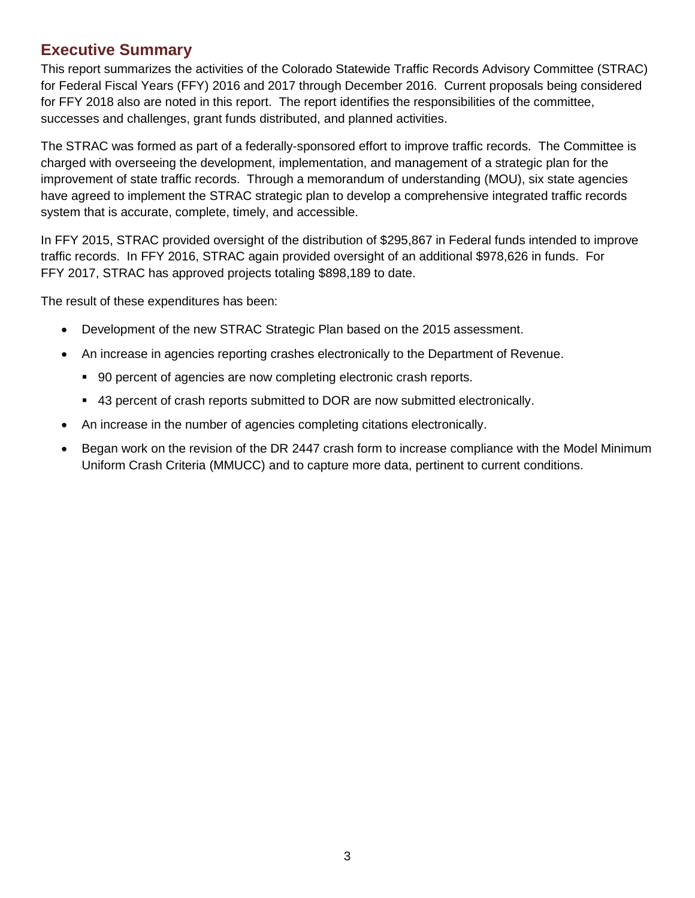## <span id="page-2-0"></span>**Executive Summary**

This report summarizes the activities of the Colorado Statewide Traffic Records Advisory Committee (STRAC) for Federal Fiscal Years (FFY) 2016 and 2017 through December 2016. Current proposals being considered for FFY 2018 also are noted in this report. The report identifies the responsibilities of the committee, successes and challenges, grant funds distributed, and planned activities.

The STRAC was formed as part of a federally-sponsored effort to improve traffic records. The Committee is charged with overseeing the development, implementation, and management of a strategic plan for the improvement of state traffic records. Through a memorandum of understanding (MOU), six state agencies have agreed to implement the STRAC strategic plan to develop a comprehensive integrated traffic records system that is accurate, complete, timely, and accessible.

In FFY 2015, STRAC provided oversight of the distribution of \$295,867 in Federal funds intended to improve traffic records. In FFY 2016, STRAC again provided oversight of an additional \$978,626 in funds. For FFY 2017, STRAC has approved projects totaling \$898,189 to date.

The result of these expenditures has been:

- Development of the new STRAC Strategic Plan based on the 2015 assessment.
- An increase in agencies reporting crashes electronically to the Department of Revenue.
	- 90 percent of agencies are now completing electronic crash reports.
	- 43 percent of crash reports submitted to DOR are now submitted electronically.
- An increase in the number of agencies completing citations electronically.
- Began work on the revision of the DR 2447 crash form to increase compliance with the Model Minimum Uniform Crash Criteria (MMUCC) and to capture more data, pertinent to current conditions.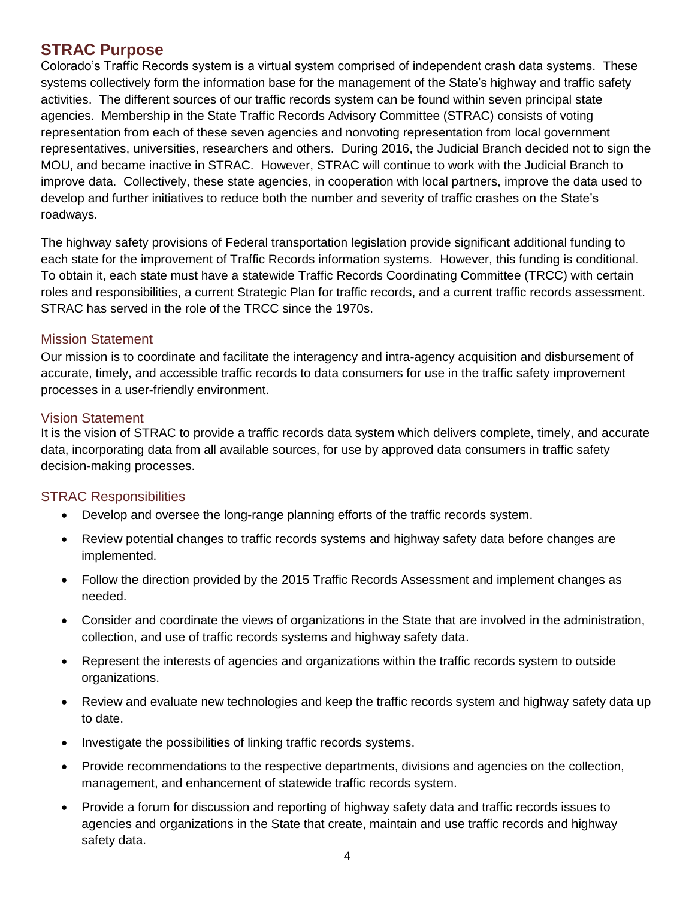## <span id="page-3-0"></span>**STRAC Purpose**

Colorado's Traffic Records system is a virtual system comprised of independent crash data systems. These systems collectively form the information base for the management of the State's highway and traffic safety activities. The different sources of our traffic records system can be found within seven principal state agencies. Membership in the State Traffic Records Advisory Committee (STRAC) consists of voting representation from each of these seven agencies and nonvoting representation from local government representatives, universities, researchers and others. During 2016, the Judicial Branch decided not to sign the MOU, and became inactive in STRAC. However, STRAC will continue to work with the Judicial Branch to improve data. Collectively, these state agencies, in cooperation with local partners, improve the data used to develop and further initiatives to reduce both the number and severity of traffic crashes on the State's roadways.

The highway safety provisions of Federal transportation legislation provide significant additional funding to each state for the improvement of Traffic Records information systems. However, this funding is conditional. To obtain it, each state must have a statewide Traffic Records Coordinating Committee (TRCC) with certain roles and responsibilities, a current Strategic Plan for traffic records, and a current traffic records assessment. STRAC has served in the role of the TRCC since the 1970s.

#### Mission Statement

Our mission is to coordinate and facilitate the interagency and intra-agency acquisition and disbursement of accurate, timely, and accessible traffic records to data consumers for use in the traffic safety improvement processes in a user-friendly environment.

#### Vision Statement

It is the vision of STRAC to provide a traffic records data system which delivers complete, timely, and accurate data, incorporating data from all available sources, for use by approved data consumers in traffic safety decision-making processes.

#### <span id="page-3-1"></span>STRAC Responsibilities

- Develop and oversee the long-range planning efforts of the traffic records system.
- Review potential changes to traffic records systems and highway safety data before changes are implemented.
- Follow the direction provided by the 2015 Traffic Records Assessment and implement changes as needed.
- Consider and coordinate the views of organizations in the State that are involved in the administration, collection, and use of traffic records systems and highway safety data.
- Represent the interests of agencies and organizations within the traffic records system to outside organizations.
- Review and evaluate new technologies and keep the traffic records system and highway safety data up to date.
- Investigate the possibilities of linking traffic records systems.
- Provide recommendations to the respective departments, divisions and agencies on the collection, management, and enhancement of statewide traffic records system.
- Provide a forum for discussion and reporting of highway safety data and traffic records issues to agencies and organizations in the State that create, maintain and use traffic records and highway safety data.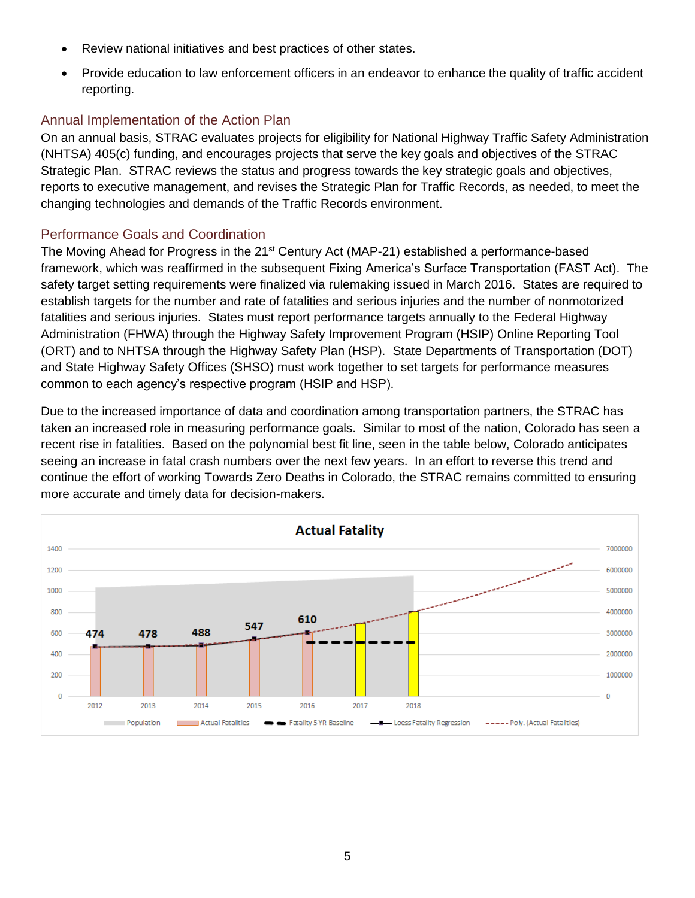- Review national initiatives and best practices of other states.
- Provide education to law enforcement officers in an endeavor to enhance the quality of traffic accident reporting.

## Annual Implementation of the Action Plan

On an annual basis, STRAC evaluates projects for eligibility for National Highway Traffic Safety Administration (NHTSA) 405(c) funding, and encourages projects that serve the key goals and objectives of the STRAC Strategic Plan. STRAC reviews the status and progress towards the key strategic goals and objectives, reports to executive management, and revises the Strategic Plan for Traffic Records, as needed, to meet the changing technologies and demands of the Traffic Records environment.

## Performance Goals and Coordination

The Moving Ahead for Progress in the 21<sup>st</sup> Century Act (MAP-21) established a performance-based framework, which was reaffirmed in the subsequent Fixing America's Surface Transportation (FAST Act). The safety target setting requirements were finalized via rulemaking issued in March 2016. States are required to establish targets for the number and rate of fatalities and serious injuries and the number of nonmotorized fatalities and serious injuries. States must report performance targets annually to the Federal Highway Administration (FHWA) through the Highway Safety Improvement Program (HSIP) Online Reporting Tool (ORT) and to NHTSA through the Highway Safety Plan (HSP). State Departments of Transportation (DOT) and State Highway Safety Offices (SHSO) must work together to set targets for performance measures common to each agency's respective program (HSIP and HSP).

Due to the increased importance of data and coordination among transportation partners, the STRAC has taken an increased role in measuring performance goals. Similar to most of the nation, Colorado has seen a recent rise in fatalities. Based on the polynomial best fit line, seen in the table below, Colorado anticipates seeing an increase in fatal crash numbers over the next few years. In an effort to reverse this trend and continue the effort of working Towards Zero Deaths in Colorado, the STRAC remains committed to ensuring more accurate and timely data for decision-makers.

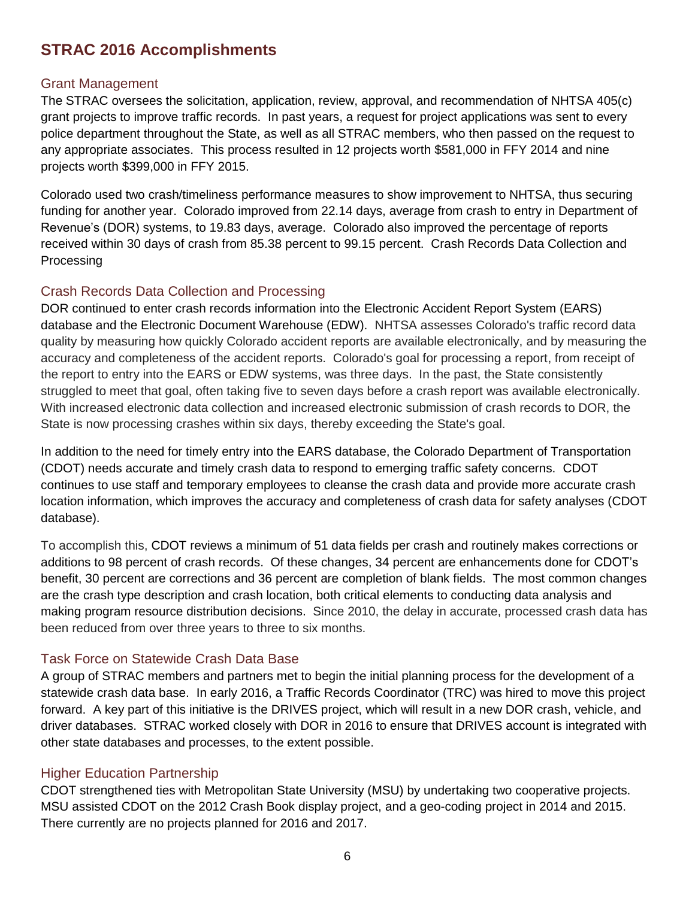# <span id="page-5-0"></span>**STRAC 2016 Accomplishments**

### Grant Management

The STRAC oversees the solicitation, application, review, approval, and recommendation of NHTSA 405(c) grant projects to improve traffic records. In past years, a request for project applications was sent to every police department throughout the State, as well as all STRAC members, who then passed on the request to any appropriate associates. This process resulted in 12 projects worth \$581,000 in FFY 2014 and nine projects worth \$399,000 in FFY 2015.

Colorado used two crash/timeliness performance measures to show improvement to NHTSA, thus securing funding for another year. Colorado improved from 22.14 days, average from crash to entry in Department of Revenue's (DOR) systems, to 19.83 days, average. Colorado also improved the percentage of reports received within 30 days of crash from 85.38 percent to 99.15 percent. Crash Records Data Collection and **Processing** 

## Crash Records Data Collection and Processing

DOR continued to enter crash records information into the Electronic Accident Report System (EARS) database and the Electronic Document Warehouse (EDW). NHTSA assesses Colorado's traffic record data quality by measuring how quickly Colorado accident reports are available electronically, and by measuring the accuracy and completeness of the accident reports. Colorado's goal for processing a report, from receipt of the report to entry into the EARS or EDW systems, was three days. In the past, the State consistently struggled to meet that goal, often taking five to seven days before a crash report was available electronically. With increased electronic data collection and increased electronic submission of crash records to DOR, the State is now processing crashes within six days, thereby exceeding the State's goal.

In addition to the need for timely entry into the EARS database, the Colorado Department of Transportation (CDOT) needs accurate and timely crash data to respond to emerging traffic safety concerns. CDOT continues to use staff and temporary employees to cleanse the crash data and provide more accurate crash location information, which improves the accuracy and completeness of crash data for safety analyses (CDOT database).

To accomplish this, CDOT reviews a minimum of 51 data fields per crash and routinely makes corrections or additions to 98 percent of crash records. Of these changes, 34 percent are enhancements done for CDOT's benefit, 30 percent are corrections and 36 percent are completion of blank fields. The most common changes are the crash type description and crash location, both critical elements to conducting data analysis and making program resource distribution decisions. Since 2010, the delay in accurate, processed crash data has been reduced from over three years to three to six months.

## Task Force on Statewide Crash Data Base

A group of STRAC members and partners met to begin the initial planning process for the development of a statewide crash data base. In early 2016, a Traffic Records Coordinator (TRC) was hired to move this project forward. A key part of this initiative is the DRIVES project, which will result in a new DOR crash, vehicle, and driver databases. STRAC worked closely with DOR in 2016 to ensure that DRIVES account is integrated with other state databases and processes, to the extent possible.

#### Higher Education Partnership

CDOT strengthened ties with Metropolitan State University (MSU) by undertaking two cooperative projects. MSU assisted CDOT on the 2012 Crash Book display project, and a geo-coding project in 2014 and 2015. There currently are no projects planned for 2016 and 2017.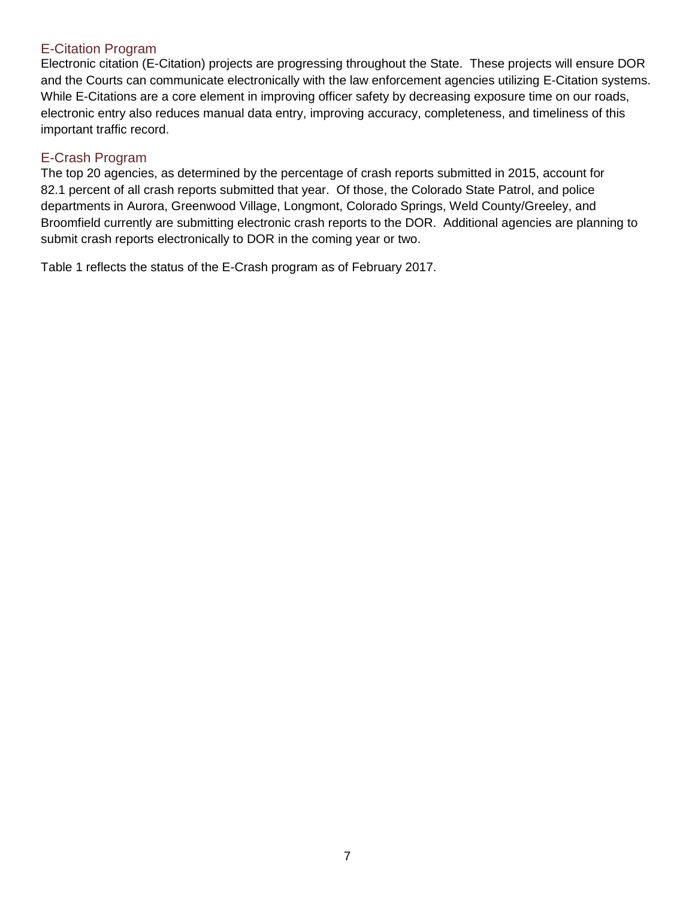## E-Citation Program

Electronic citation (E-Citation) projects are progressing throughout the State. These projects will ensure DOR and the Courts can communicate electronically with the law enforcement agencies utilizing E-Citation systems. While E-Citations are a core element in improving officer safety by decreasing exposure time on our roads, electronic entry also reduces manual data entry, improving accuracy, completeness, and timeliness of this important traffic record.

## E-Crash Program

The top 20 agencies, as determined by the percentage of crash reports submitted in 2015, account for 82.1 percent of all crash reports submitted that year. Of those, the Colorado State Patrol, and police departments in Aurora, Greenwood Village, Longmont, Colorado Springs, Weld County/Greeley, and Broomfield currently are submitting electronic crash reports to the DOR. Additional agencies are planning to submit crash reports electronically to DOR in the coming year or two.

Table 1 reflects the status of the E-Crash program as of February 2017.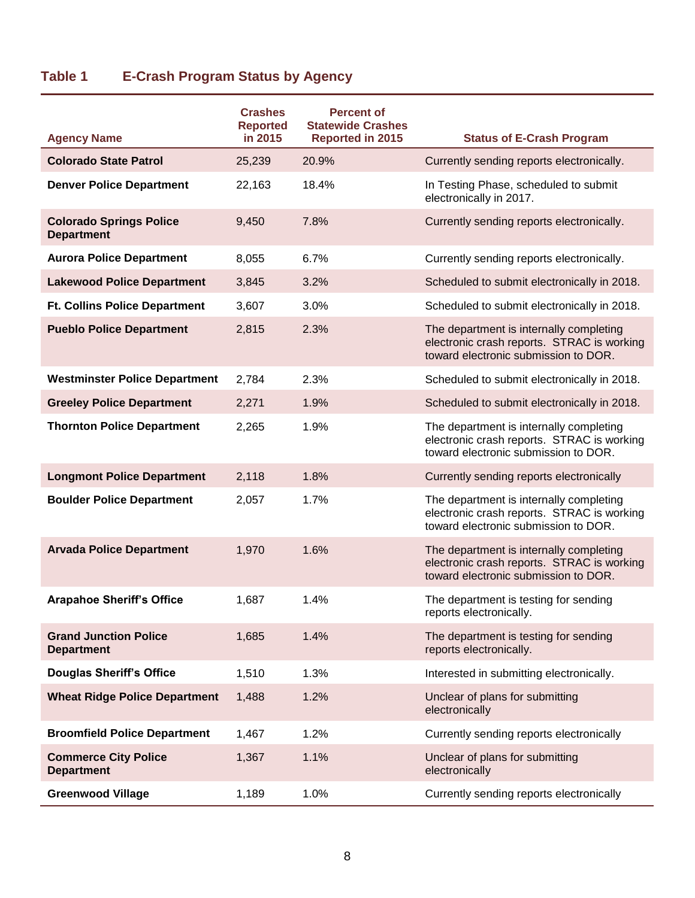# **Table 1 E-Crash Program Status by Agency**

|                                                     | <b>Crashes</b><br><b>Reported</b> | <b>Percent of</b><br><b>Statewide Crashes</b> |                                                                                                                               |
|-----------------------------------------------------|-----------------------------------|-----------------------------------------------|-------------------------------------------------------------------------------------------------------------------------------|
| <b>Agency Name</b>                                  | in 2015                           | Reported in 2015                              | <b>Status of E-Crash Program</b>                                                                                              |
| <b>Colorado State Patrol</b>                        | 25,239                            | 20.9%                                         | Currently sending reports electronically.                                                                                     |
| <b>Denver Police Department</b>                     | 22,163                            | 18.4%                                         | In Testing Phase, scheduled to submit<br>electronically in 2017.                                                              |
| <b>Colorado Springs Police</b><br><b>Department</b> | 9,450                             | 7.8%                                          | Currently sending reports electronically.                                                                                     |
| <b>Aurora Police Department</b>                     | 8,055                             | 6.7%                                          | Currently sending reports electronically.                                                                                     |
| <b>Lakewood Police Department</b>                   | 3,845                             | 3.2%                                          | Scheduled to submit electronically in 2018.                                                                                   |
| <b>Ft. Collins Police Department</b>                | 3,607                             | 3.0%                                          | Scheduled to submit electronically in 2018.                                                                                   |
| <b>Pueblo Police Department</b>                     | 2,815                             | 2.3%                                          | The department is internally completing<br>electronic crash reports. STRAC is working<br>toward electronic submission to DOR. |
| <b>Westminster Police Department</b>                | 2,784                             | 2.3%                                          | Scheduled to submit electronically in 2018.                                                                                   |
| <b>Greeley Police Department</b>                    | 2,271                             | 1.9%                                          | Scheduled to submit electronically in 2018.                                                                                   |
| <b>Thornton Police Department</b>                   | 2,265                             | 1.9%                                          | The department is internally completing<br>electronic crash reports. STRAC is working<br>toward electronic submission to DOR. |
| <b>Longmont Police Department</b>                   | 2,118                             | 1.8%                                          | Currently sending reports electronically                                                                                      |
| <b>Boulder Police Department</b>                    | 2,057                             | 1.7%                                          | The department is internally completing<br>electronic crash reports. STRAC is working<br>toward electronic submission to DOR. |
| <b>Arvada Police Department</b>                     | 1,970                             | 1.6%                                          | The department is internally completing<br>electronic crash reports. STRAC is working<br>toward electronic submission to DOR. |
| <b>Arapahoe Sheriff's Office</b>                    | 1,687                             | 1.4%                                          | The department is testing for sending<br>reports electronically.                                                              |
| <b>Grand Junction Police</b><br><b>Department</b>   | 1,685                             | 1.4%                                          | The department is testing for sending<br>reports electronically.                                                              |
| <b>Douglas Sheriff's Office</b>                     | 1,510                             | 1.3%                                          | Interested in submitting electronically.                                                                                      |
| <b>Wheat Ridge Police Department</b>                | 1,488                             | 1.2%                                          | Unclear of plans for submitting<br>electronically                                                                             |
| <b>Broomfield Police Department</b>                 | 1,467                             | 1.2%                                          | Currently sending reports electronically                                                                                      |
| <b>Commerce City Police</b><br><b>Department</b>    | 1,367                             | 1.1%                                          | Unclear of plans for submitting<br>electronically                                                                             |
| <b>Greenwood Village</b>                            | 1,189                             | 1.0%                                          | Currently sending reports electronically                                                                                      |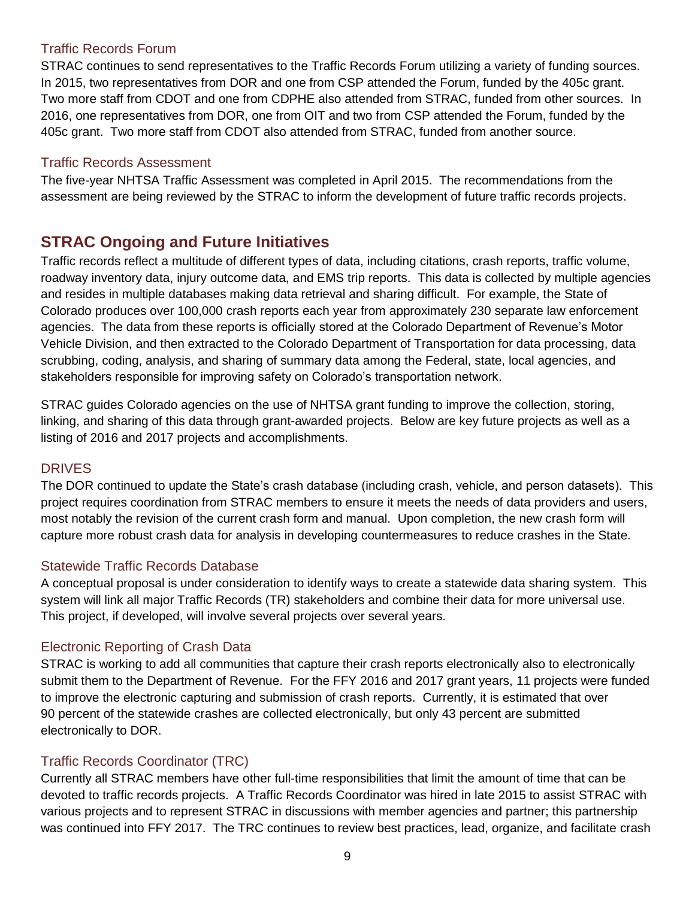### Traffic Records Forum

STRAC continues to send representatives to the Traffic Records Forum utilizing a variety of funding sources. In 2015, two representatives from DOR and one from CSP attended the Forum, funded by the 405c grant. Two more staff from CDOT and one from CDPHE also attended from STRAC, funded from other sources. In 2016, one representatives from DOR, one from OIT and two from CSP attended the Forum, funded by the 405c grant. Two more staff from CDOT also attended from STRAC, funded from another source.

## Traffic Records Assessment

The five-year NHTSA Traffic Assessment was completed in April 2015. The recommendations from the assessment are being reviewed by the STRAC to inform the development of future traffic records projects.

## <span id="page-8-0"></span>**STRAC Ongoing and Future Initiatives**

Traffic records reflect a multitude of different types of data, including citations, crash reports, traffic volume, roadway inventory data, injury outcome data, and EMS trip reports. This data is collected by multiple agencies and resides in multiple databases making data retrieval and sharing difficult. For example, the State of Colorado produces over 100,000 crash reports each year from approximately 230 separate law enforcement agencies. The data from these reports is officially stored at the Colorado Department of Revenue's Motor Vehicle Division, and then extracted to the Colorado Department of Transportation for data processing, data scrubbing, coding, analysis, and sharing of summary data among the Federal, state, local agencies, and stakeholders responsible for improving safety on Colorado's transportation network.

STRAC guides Colorado agencies on the use of NHTSA grant funding to improve the collection, storing, linking, and sharing of this data through grant-awarded projects. Below are key future projects as well as a listing of 2016 and 2017 projects and accomplishments.

## DRIVES

The DOR continued to update the State's crash database (including crash, vehicle, and person datasets). This project requires coordination from STRAC members to ensure it meets the needs of data providers and users, most notably the revision of the current crash form and manual. Upon completion, the new crash form will capture more robust crash data for analysis in developing countermeasures to reduce crashes in the State.

#### Statewide Traffic Records Database

A conceptual proposal is under consideration to identify ways to create a statewide data sharing system. This system will link all major Traffic Records (TR) stakeholders and combine their data for more universal use. This project, if developed, will involve several projects over several years.

## Electronic Reporting of Crash Data

STRAC is working to add all communities that capture their crash reports electronically also to electronically submit them to the Department of Revenue. For the FFY 2016 and 2017 grant years, 11 projects were funded to improve the electronic capturing and submission of crash reports. Currently, it is estimated that over 90 percent of the statewide crashes are collected electronically, but only 43 percent are submitted electronically to DOR.

## Traffic Records Coordinator (TRC)

Currently all STRAC members have other full-time responsibilities that limit the amount of time that can be devoted to traffic records projects. A Traffic Records Coordinator was hired in late 2015 to assist STRAC with various projects and to represent STRAC in discussions with member agencies and partner; this partnership was continued into FFY 2017. The TRC continues to review best practices, lead, organize, and facilitate crash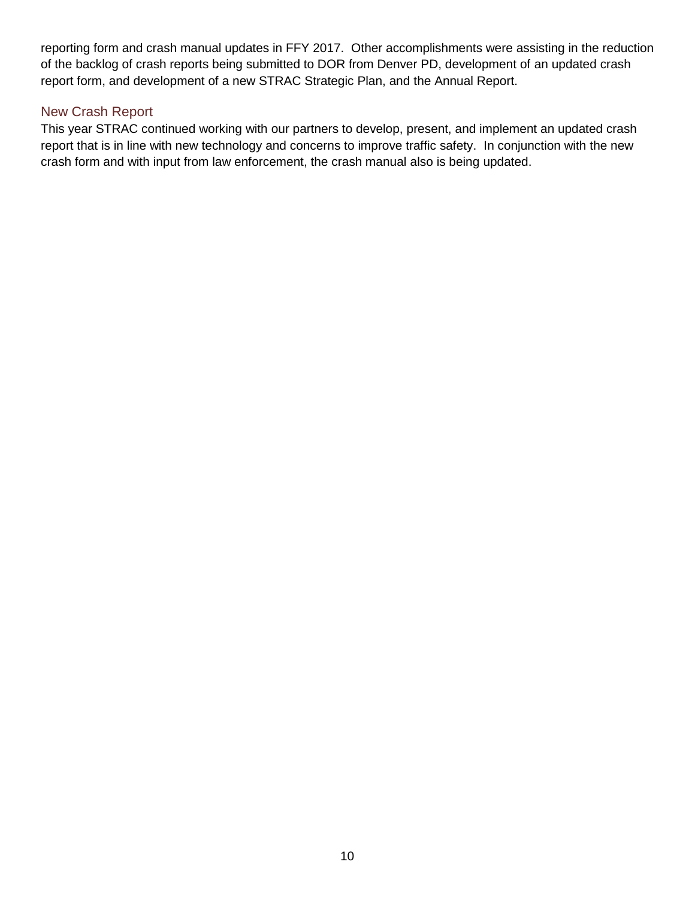reporting form and crash manual updates in FFY 2017. Other accomplishments were assisting in the reduction of the backlog of crash reports being submitted to DOR from Denver PD, development of an updated crash report form, and development of a new STRAC Strategic Plan, and the Annual Report.

## New Crash Report

This year STRAC continued working with our partners to develop, present, and implement an updated crash report that is in line with new technology and concerns to improve traffic safety. In conjunction with the new crash form and with input from law enforcement, the crash manual also is being updated.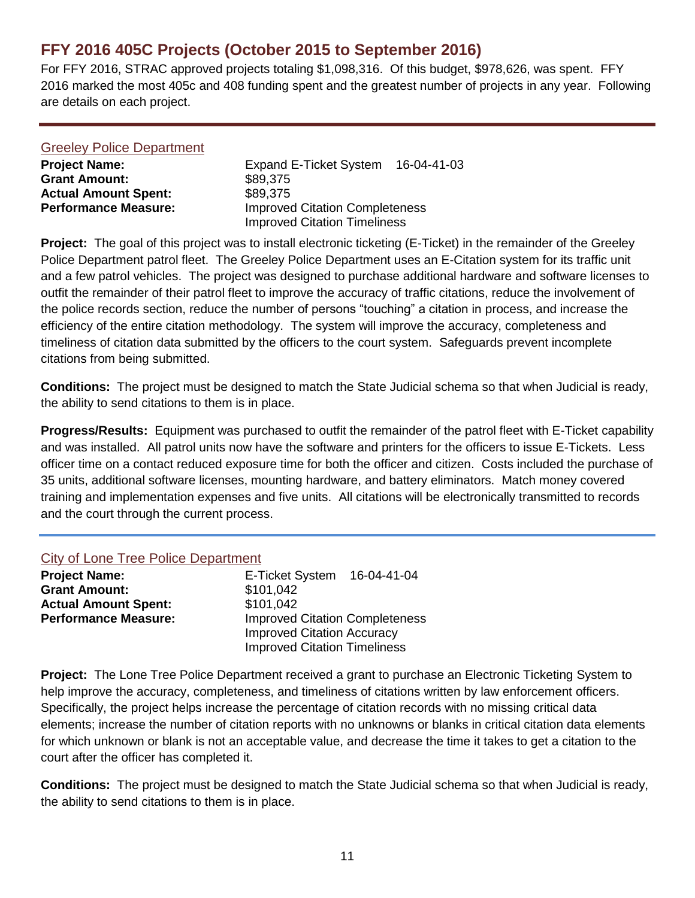# <span id="page-10-0"></span>**FFY 2016 405C Projects (October 2015 to September 2016)**

For FFY 2016, STRAC approved projects totaling \$1,098,316. Of this budget, \$978,626, was spent. FFY 2016 marked the most 405c and 408 funding spent and the greatest number of projects in any year. Following are details on each project.

| <b>Greeley Police Department</b> |                                                                              |
|----------------------------------|------------------------------------------------------------------------------|
| <b>Project Name:</b>             | Expand E-Ticket System 16-04-41-03                                           |
| <b>Grant Amount:</b>             | \$89,375                                                                     |
| <b>Actual Amount Spent:</b>      | \$89,375                                                                     |
| <b>Performance Measure:</b>      | <b>Improved Citation Completeness</b><br><b>Improved Citation Timeliness</b> |

**Project:** The goal of this project was to install electronic ticketing (E-Ticket) in the remainder of the Greeley Police Department patrol fleet. The Greeley Police Department uses an E-Citation system for its traffic unit and a few patrol vehicles. The project was designed to purchase additional hardware and software licenses to outfit the remainder of their patrol fleet to improve the accuracy of traffic citations, reduce the involvement of the police records section, reduce the number of persons "touching" a citation in process, and increase the efficiency of the entire citation methodology. The system will improve the accuracy, completeness and timeliness of citation data submitted by the officers to the court system. Safeguards prevent incomplete citations from being submitted.

**Conditions:** The project must be designed to match the State Judicial schema so that when Judicial is ready, the ability to send citations to them is in place.

**Progress/Results:** Equipment was purchased to outfit the remainder of the patrol fleet with E-Ticket capability and was installed. All patrol units now have the software and printers for the officers to issue E-Tickets. Less officer time on a contact reduced exposure time for both the officer and citizen. Costs included the purchase of 35 units, additional software licenses, mounting hardware, and battery eliminators. Match money covered training and implementation expenses and five units. All citations will be electronically transmitted to records and the court through the current process.

#### City of Lone Tree Police Department

| <b>Project Name:</b>        | E-Ticket System 16-04-41-04           |  |
|-----------------------------|---------------------------------------|--|
| <b>Grant Amount:</b>        | \$101,042                             |  |
| <b>Actual Amount Spent:</b> | \$101.042                             |  |
| <b>Performance Measure:</b> | <b>Improved Citation Completeness</b> |  |
|                             | <b>Improved Citation Accuracy</b>     |  |
|                             | <b>Improved Citation Timeliness</b>   |  |

**Project:** The Lone Tree Police Department received a grant to purchase an Electronic Ticketing System to help improve the accuracy, completeness, and timeliness of citations written by law enforcement officers. Specifically, the project helps increase the percentage of citation records with no missing critical data elements; increase the number of citation reports with no unknowns or blanks in critical citation data elements for which unknown or blank is not an acceptable value, and decrease the time it takes to get a citation to the court after the officer has completed it.

**Conditions:** The project must be designed to match the State Judicial schema so that when Judicial is ready, the ability to send citations to them is in place.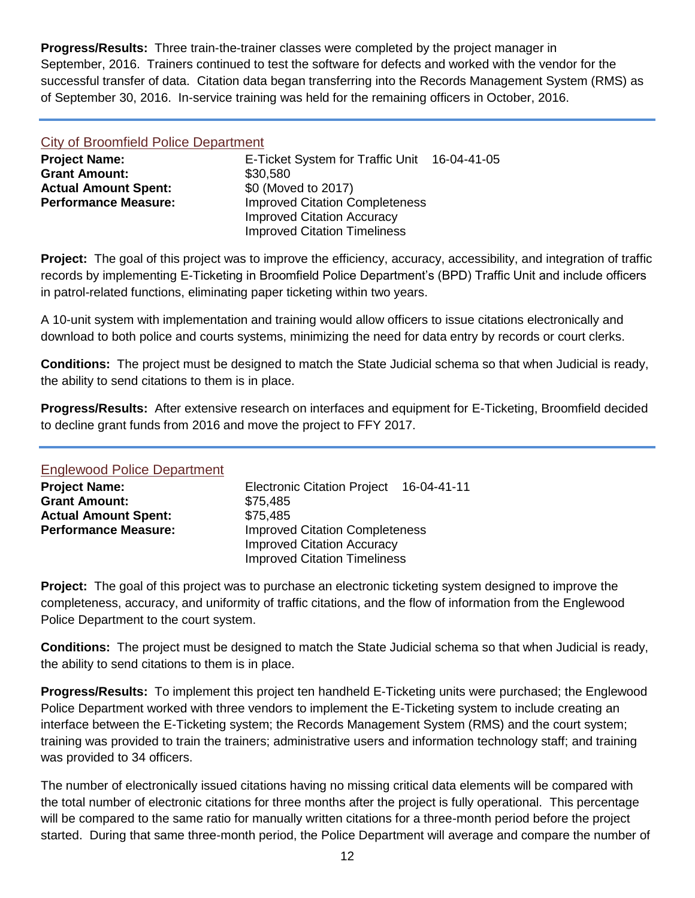**Progress/Results:** Three train-the-trainer classes were completed by the project manager in September, 2016. Trainers continued to test the software for defects and worked with the vendor for the successful transfer of data. Citation data began transferring into the Records Management System (RMS) as of September 30, 2016. In-service training was held for the remaining officers in October, 2016.

#### City of Broomfield Police Department

| <b>Project Name:</b>        | E-Ticket System for Traffic Unit 16-04-41-05 |  |
|-----------------------------|----------------------------------------------|--|
| <b>Grant Amount:</b>        | \$30,580                                     |  |
| <b>Actual Amount Spent:</b> | \$0 (Moved to 2017)                          |  |
| <b>Performance Measure:</b> | <b>Improved Citation Completeness</b>        |  |
|                             | <b>Improved Citation Accuracy</b>            |  |
|                             | <b>Improved Citation Timeliness</b>          |  |

**Project:** The goal of this project was to improve the efficiency, accuracy, accessibility, and integration of traffic records by implementing E-Ticketing in Broomfield Police Department's (BPD) Traffic Unit and include officers in patrol-related functions, eliminating paper ticketing within two years.

A 10-unit system with implementation and training would allow officers to issue citations electronically and download to both police and courts systems, minimizing the need for data entry by records or court clerks.

**Conditions:** The project must be designed to match the State Judicial schema so that when Judicial is ready, the ability to send citations to them is in place.

**Progress/Results:** After extensive research on interfaces and equipment for E-Ticketing, Broomfield decided to decline grant funds from 2016 and move the project to FFY 2017.

#### Englewood Police Department

| <b>Project Name:</b>        | Electronic Citation Project 16-04-41-11                                                                           |  |
|-----------------------------|-------------------------------------------------------------------------------------------------------------------|--|
| <b>Grant Amount:</b>        | \$75,485                                                                                                          |  |
| <b>Actual Amount Spent:</b> | \$75,485                                                                                                          |  |
| <b>Performance Measure:</b> | <b>Improved Citation Completeness</b><br><b>Improved Citation Accuracy</b><br><b>Improved Citation Timeliness</b> |  |

**Project:** The goal of this project was to purchase an electronic ticketing system designed to improve the completeness, accuracy, and uniformity of traffic citations, and the flow of information from the Englewood Police Department to the court system.

**Conditions:** The project must be designed to match the State Judicial schema so that when Judicial is ready, the ability to send citations to them is in place.

**Progress/Results:** To implement this project ten handheld E-Ticketing units were purchased; the Englewood Police Department worked with three vendors to implement the E-Ticketing system to include creating an interface between the E-Ticketing system; the Records Management System (RMS) and the court system; training was provided to train the trainers; administrative users and information technology staff; and training was provided to 34 officers.

The number of electronically issued citations having no missing critical data elements will be compared with the total number of electronic citations for three months after the project is fully operational. This percentage will be compared to the same ratio for manually written citations for a three-month period before the project started. During that same three-month period, the Police Department will average and compare the number of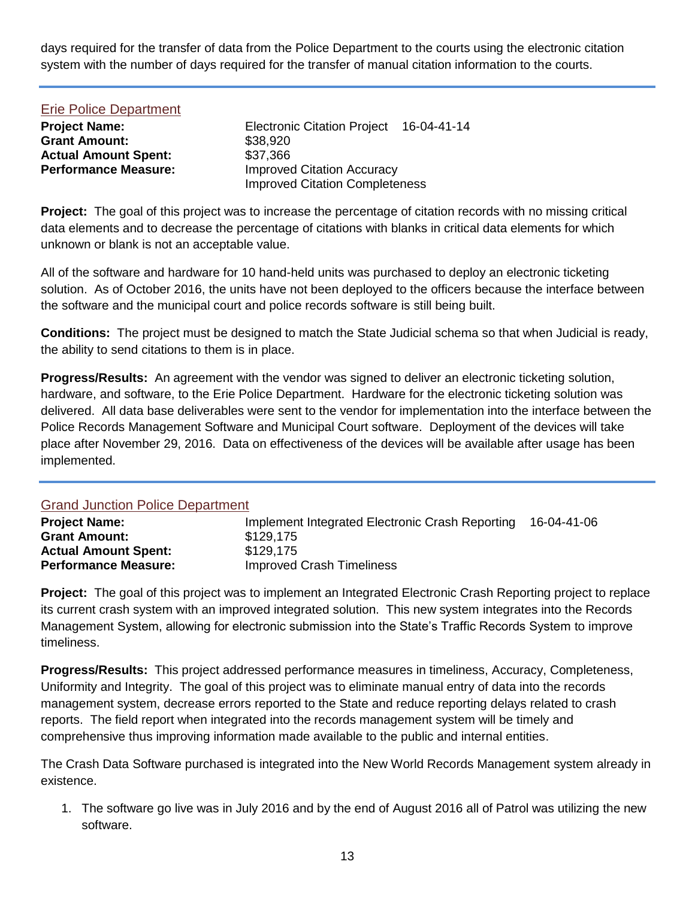days required for the transfer of data from the Police Department to the courts using the electronic citation system with the number of days required for the transfer of manual citation information to the courts.

| <b>Erie Police Department</b> |                                       |             |
|-------------------------------|---------------------------------------|-------------|
| <b>Project Name:</b>          | <b>Electronic Citation Project</b>    | 16-04-41-14 |
| <b>Grant Amount:</b>          | \$38,920                              |             |
| <b>Actual Amount Spent:</b>   | \$37,366                              |             |
| <b>Performance Measure:</b>   | <b>Improved Citation Accuracy</b>     |             |
|                               | <b>Improved Citation Completeness</b> |             |

**Project:** The goal of this project was to increase the percentage of citation records with no missing critical data elements and to decrease the percentage of citations with blanks in critical data elements for which unknown or blank is not an acceptable value.

All of the software and hardware for 10 hand-held units was purchased to deploy an electronic ticketing solution. As of October 2016, the units have not been deployed to the officers because the interface between the software and the municipal court and police records software is still being built.

**Conditions:** The project must be designed to match the State Judicial schema so that when Judicial is ready, the ability to send citations to them is in place.

**Progress/Results:** An agreement with the vendor was signed to deliver an electronic ticketing solution, hardware, and software, to the Erie Police Department. Hardware for the electronic ticketing solution was delivered. All data base deliverables were sent to the vendor for implementation into the interface between the Police Records Management Software and Municipal Court software. Deployment of the devices will take place after November 29, 2016. Data on effectiveness of the devices will be available after usage has been implemented.

| <b>Grand Junction Police Department</b> |                                                 |             |
|-----------------------------------------|-------------------------------------------------|-------------|
| <b>Project Name:</b>                    | Implement Integrated Electronic Crash Reporting | 16-04-41-06 |
| <b>Grant Amount:</b>                    | \$129,175                                       |             |
| <b>Actual Amount Spent:</b>             | \$129.175                                       |             |
| <b>Performance Measure:</b>             | <b>Improved Crash Timeliness</b>                |             |

**Project:** The goal of this project was to implement an Integrated Electronic Crash Reporting project to replace its current crash system with an improved integrated solution. This new system integrates into the Records Management System, allowing for electronic submission into the State's Traffic Records System to improve timeliness.

**Progress/Results:** This project addressed performance measures in timeliness, Accuracy, Completeness, Uniformity and Integrity. The goal of this project was to eliminate manual entry of data into the records management system, decrease errors reported to the State and reduce reporting delays related to crash reports. The field report when integrated into the records management system will be timely and comprehensive thus improving information made available to the public and internal entities.

The Crash Data Software purchased is integrated into the New World Records Management system already in existence.

1. The software go live was in July 2016 and by the end of August 2016 all of Patrol was utilizing the new software.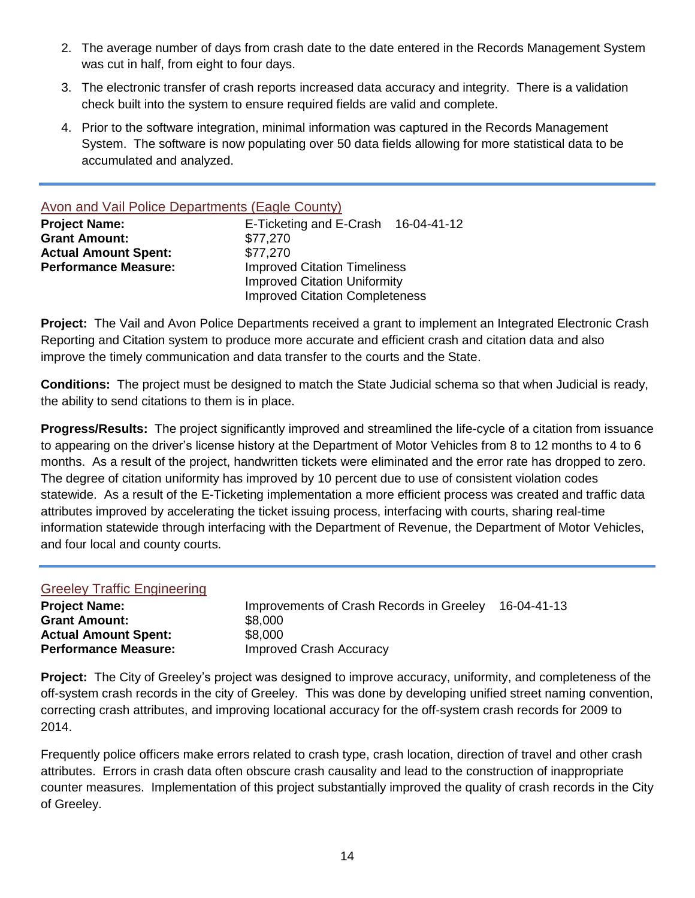- 2. The average number of days from crash date to the date entered in the Records Management System was cut in half, from eight to four days.
- 3. The electronic transfer of crash reports increased data accuracy and integrity. There is a validation check built into the system to ensure required fields are valid and complete.
- 4. Prior to the software integration, minimal information was captured in the Records Management System. The software is now populating over 50 data fields allowing for more statistical data to be accumulated and analyzed.

| Avon and Vail Police Departments (Eagle County) |                                       |  |
|-------------------------------------------------|---------------------------------------|--|
| <b>Project Name:</b>                            | E-Ticketing and E-Crash 16-04-41-12   |  |
| <b>Grant Amount:</b>                            | \$77,270                              |  |
| <b>Actual Amount Spent:</b>                     | \$77,270                              |  |
| <b>Performance Measure:</b>                     | <b>Improved Citation Timeliness</b>   |  |
|                                                 | <b>Improved Citation Uniformity</b>   |  |
|                                                 | <b>Improved Citation Completeness</b> |  |

**Project:** The Vail and Avon Police Departments received a grant to implement an Integrated Electronic Crash Reporting and Citation system to produce more accurate and efficient crash and citation data and also improve the timely communication and data transfer to the courts and the State.

**Conditions:** The project must be designed to match the State Judicial schema so that when Judicial is ready, the ability to send citations to them is in place.

**Progress/Results:** The project significantly improved and streamlined the life-cycle of a citation from issuance to appearing on the driver's license history at the Department of Motor Vehicles from 8 to 12 months to 4 to 6 months. As a result of the project, handwritten tickets were eliminated and the error rate has dropped to zero. The degree of citation uniformity has improved by 10 percent due to use of consistent violation codes statewide. As a result of the E-Ticketing implementation a more efficient process was created and traffic data attributes improved by accelerating the ticket issuing process, interfacing with courts, sharing real-time information statewide through interfacing with the Department of Revenue, the Department of Motor Vehicles, and four local and county courts.

| <b>Greeley Traffic Engineering</b> |                                          |             |
|------------------------------------|------------------------------------------|-------------|
| <b>Project Name:</b>               | Improvements of Crash Records in Greeley | 16-04-41-13 |
| <b>Grant Amount:</b>               | \$8,000                                  |             |
| <b>Actual Amount Spent:</b>        | \$8,000                                  |             |
| <b>Performance Measure:</b>        | <b>Improved Crash Accuracy</b>           |             |

**Project:** The City of Greeley's project was designed to improve accuracy, uniformity, and completeness of the off-system crash records in the city of Greeley. This was done by developing unified street naming convention, correcting crash attributes, and improving locational accuracy for the off-system crash records for 2009 to 2014.

Frequently police officers make errors related to crash type, crash location, direction of travel and other crash attributes. Errors in crash data often obscure crash causality and lead to the construction of inappropriate counter measures. Implementation of this project substantially improved the quality of crash records in the City of Greeley.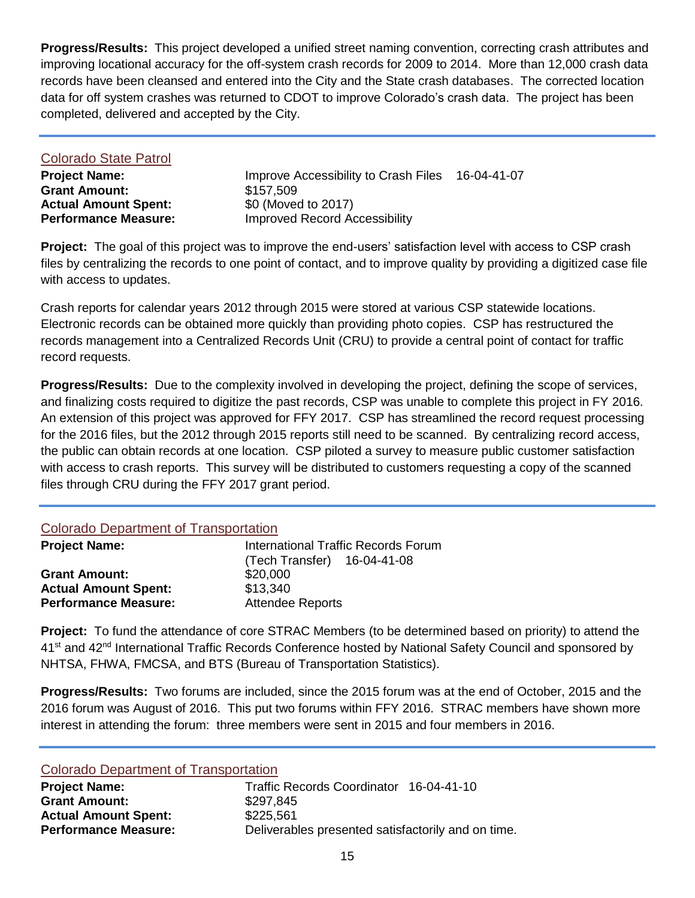**Progress/Results:** This project developed a unified street naming convention, correcting crash attributes and improving locational accuracy for the off-system crash records for 2009 to 2014. More than 12,000 crash data records have been cleansed and entered into the City and the State crash databases. The corrected location data for off system crashes was returned to CDOT to improve Colorado's crash data. The project has been completed, delivered and accepted by the City.

| Colorado State Patrol       |                                                  |  |
|-----------------------------|--------------------------------------------------|--|
| <b>Project Name:</b>        | Improve Accessibility to Crash Files 16-04-41-07 |  |
| <b>Grant Amount:</b>        | \$157,509                                        |  |
| <b>Actual Amount Spent:</b> | \$0 (Moved to 2017)                              |  |
| <b>Performance Measure:</b> | <b>Improved Record Accessibility</b>             |  |
|                             |                                                  |  |

**Project:** The goal of this project was to improve the end-users' satisfaction level with access to CSP crash files by centralizing the records to one point of contact, and to improve quality by providing a digitized case file with access to updates.

Crash reports for calendar years 2012 through 2015 were stored at various CSP statewide locations. Electronic records can be obtained more quickly than providing photo copies. CSP has restructured the records management into a Centralized Records Unit (CRU) to provide a central point of contact for traffic record requests.

**Progress/Results:** Due to the complexity involved in developing the project, defining the scope of services, and finalizing costs required to digitize the past records, CSP was unable to complete this project in FY 2016. An extension of this project was approved for FFY 2017. CSP has streamlined the record request processing for the 2016 files, but the 2012 through 2015 reports still need to be scanned. By centralizing record access, the public can obtain records at one location. CSP piloted a survey to measure public customer satisfaction with access to crash reports. This survey will be distributed to customers requesting a copy of the scanned files through CRU during the FFY 2017 grant period.

#### Colorado Department of Transportation

| <b>Project Name:</b>        | <b>International Traffic Records Forum</b> |
|-----------------------------|--------------------------------------------|
|                             | (Tech Transfer) 16-04-41-08                |
| <b>Grant Amount:</b>        | \$20,000                                   |
| <b>Actual Amount Spent:</b> | \$13.340                                   |
| <b>Performance Measure:</b> | <b>Attendee Reports</b>                    |

**Project:** To fund the attendance of core STRAC Members (to be determined based on priority) to attend the 41<sup>st</sup> and 42<sup>nd</sup> International Traffic Records Conference hosted by National Safety Council and sponsored by NHTSA, FHWA, FMCSA, and BTS (Bureau of Transportation Statistics).

**Progress/Results:** Two forums are included, since the 2015 forum was at the end of October, 2015 and the 2016 forum was August of 2016. This put two forums within FFY 2016. STRAC members have shown more interest in attending the forum: three members were sent in 2015 and four members in 2016.

#### Colorado Department of Transportation

| <b>Project Name:</b>        | Traffic Records Coordinator 16-04-41-10            |
|-----------------------------|----------------------------------------------------|
| <b>Grant Amount:</b>        | \$297,845                                          |
| <b>Actual Amount Spent:</b> | \$225,561                                          |
| <b>Performance Measure:</b> | Deliverables presented satisfactorily and on time. |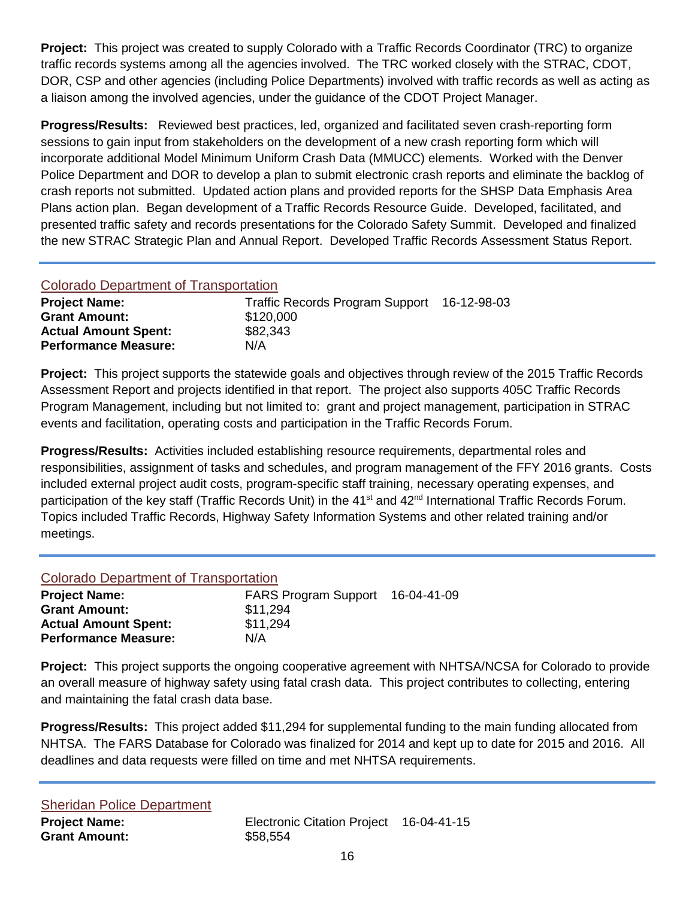**Project:** This project was created to supply Colorado with a Traffic Records Coordinator (TRC) to organize traffic records systems among all the agencies involved. The TRC worked closely with the STRAC, CDOT, DOR, CSP and other agencies (including Police Departments) involved with traffic records as well as acting as a liaison among the involved agencies, under the guidance of the CDOT Project Manager.

**Progress/Results:** Reviewed best practices, led, organized and facilitated seven crash-reporting form sessions to gain input from stakeholders on the development of a new crash reporting form which will incorporate additional Model Minimum Uniform Crash Data (MMUCC) elements. Worked with the Denver Police Department and DOR to develop a plan to submit electronic crash reports and eliminate the backlog of crash reports not submitted. Updated action plans and provided reports for the SHSP Data Emphasis Area Plans action plan. Began development of a Traffic Records Resource Guide. Developed, facilitated, and presented traffic safety and records presentations for the Colorado Safety Summit. Developed and finalized the new STRAC Strategic Plan and Annual Report. Developed Traffic Records Assessment Status Report.

## Colorado Department of Transportation

| <b>Project Name:</b>        | Traffic Records Program Support 16-12-98-03 |  |
|-----------------------------|---------------------------------------------|--|
| <b>Grant Amount:</b>        | \$120,000                                   |  |
| <b>Actual Amount Spent:</b> | \$82,343                                    |  |
| <b>Performance Measure:</b> | N/A                                         |  |

**Project:** This project supports the statewide goals and objectives through review of the 2015 Traffic Records Assessment Report and projects identified in that report. The project also supports 405C Traffic Records Program Management, including but not limited to: grant and project management, participation in STRAC events and facilitation, operating costs and participation in the Traffic Records Forum.

**Progress/Results:** Activities included establishing resource requirements, departmental roles and responsibilities, assignment of tasks and schedules, and program management of the FFY 2016 grants. Costs included external project audit costs, program-specific staff training, necessary operating expenses, and participation of the key staff (Traffic Records Unit) in the 41<sup>st</sup> and 42<sup>nd</sup> International Traffic Records Forum. Topics included Traffic Records, Highway Safety Information Systems and other related training and/or meetings.

### Colorado Department of Transportation

| FARS Program Support 16-04-41-09 |  |
|----------------------------------|--|
| \$11,294                         |  |
| \$11,294                         |  |
| N/A                              |  |
|                                  |  |

**Project:** This project supports the ongoing cooperative agreement with NHTSA/NCSA for Colorado to provide an overall measure of highway safety using fatal crash data. This project contributes to collecting, entering and maintaining the fatal crash data base.

**Progress/Results:** This project added \$11,294 for supplemental funding to the main funding allocated from NHTSA. The FARS Database for Colorado was finalized for 2014 and kept up to date for 2015 and 2016. All deadlines and data requests were filled on time and met NHTSA requirements.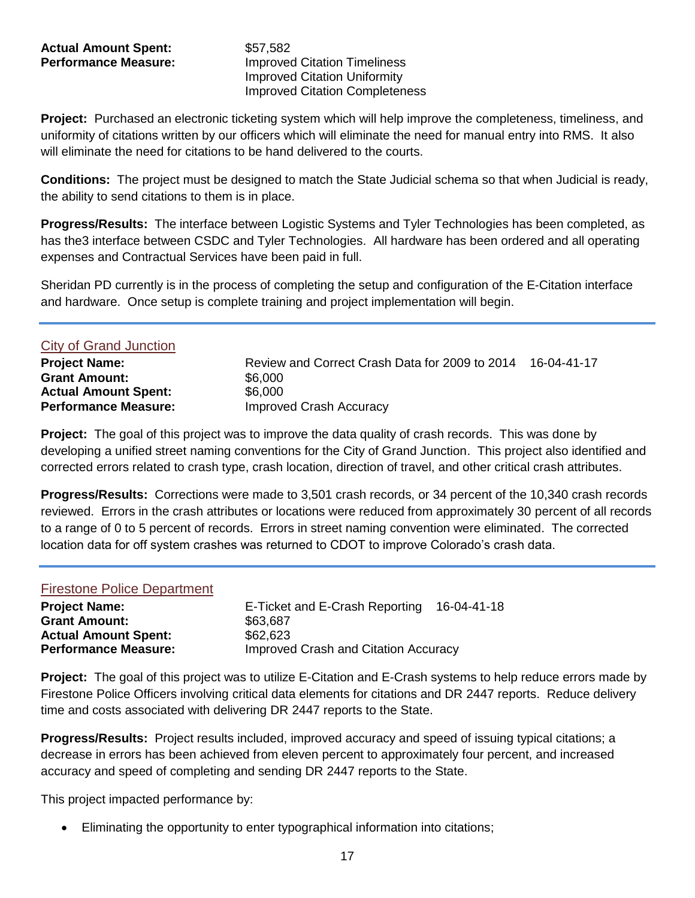# Actual Amount Spent: \$57.582

**Performance Measure: Improved Citation Timeliness** Improved Citation Uniformity Improved Citation Completeness

**Project:** Purchased an electronic ticketing system which will help improve the completeness, timeliness, and uniformity of citations written by our officers which will eliminate the need for manual entry into RMS. It also will eliminate the need for citations to be hand delivered to the courts.

**Conditions:** The project must be designed to match the State Judicial schema so that when Judicial is ready, the ability to send citations to them is in place.

**Progress/Results:** The interface between Logistic Systems and Tyler Technologies has been completed, as has the3 interface between CSDC and Tyler Technologies. All hardware has been ordered and all operating expenses and Contractual Services have been paid in full.

Sheridan PD currently is in the process of completing the setup and configuration of the E-Citation interface and hardware. Once setup is complete training and project implementation will begin.

| <b>City of Grand Junction</b> |                                                |             |
|-------------------------------|------------------------------------------------|-------------|
| <b>Project Name:</b>          | Review and Correct Crash Data for 2009 to 2014 | 16-04-41-17 |
| <b>Grant Amount:</b>          | \$6,000                                        |             |
| <b>Actual Amount Spent:</b>   | \$6,000                                        |             |
| <b>Performance Measure:</b>   | <b>Improved Crash Accuracy</b>                 |             |

**Project:** The goal of this project was to improve the data quality of crash records. This was done by developing a unified street naming conventions for the City of Grand Junction. This project also identified and corrected errors related to crash type, crash location, direction of travel, and other critical crash attributes.

**Progress/Results:** Corrections were made to 3,501 crash records, or 34 percent of the 10,340 crash records reviewed. Errors in the crash attributes or locations were reduced from approximately 30 percent of all records to a range of 0 to 5 percent of records. Errors in street naming convention were eliminated. The corrected location data for off system crashes was returned to CDOT to improve Colorado's crash data.

#### Firestone Police Department

| <b>Project Name:</b>        | E-Ticket and E-Crash Reporting       | 16-04-41-18 |
|-----------------------------|--------------------------------------|-------------|
| <b>Grant Amount:</b>        | \$63,687                             |             |
| <b>Actual Amount Spent:</b> | \$62,623                             |             |
| <b>Performance Measure:</b> | Improved Crash and Citation Accuracy |             |

**Project:** The goal of this project was to utilize E-Citation and E-Crash systems to help reduce errors made by Firestone Police Officers involving critical data elements for citations and DR 2447 reports. Reduce delivery time and costs associated with delivering DR 2447 reports to the State.

**Progress/Results:** Project results included, improved accuracy and speed of issuing typical citations; a decrease in errors has been achieved from eleven percent to approximately four percent, and increased accuracy and speed of completing and sending DR 2447 reports to the State.

This project impacted performance by:

Eliminating the opportunity to enter typographical information into citations;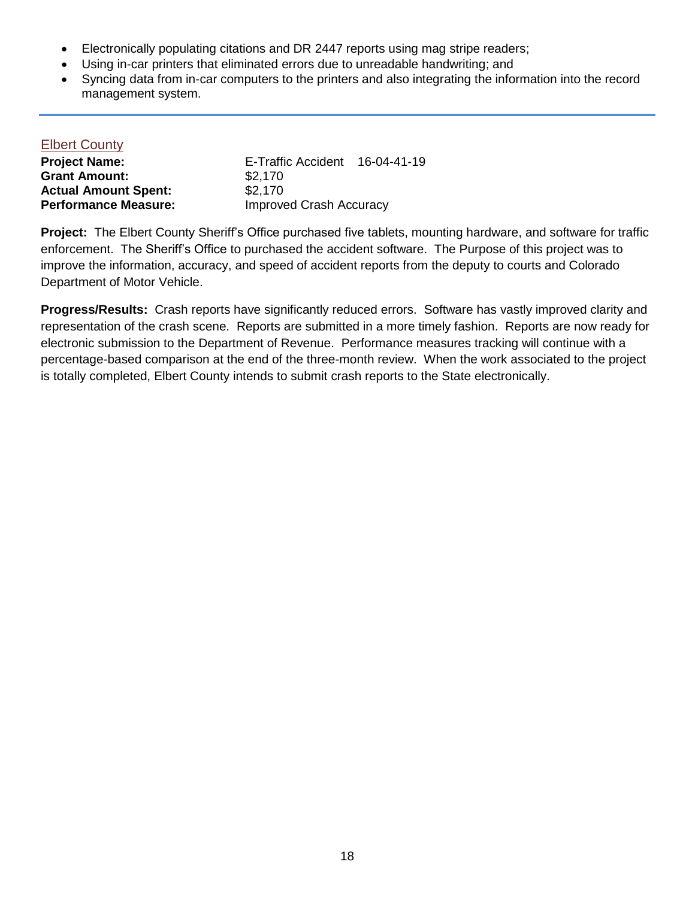- Electronically populating citations and DR 2447 reports using mag stripe readers;
- Using in-car printers that eliminated errors due to unreadable handwriting; and
- Syncing data from in-car computers to the printers and also integrating the information into the record management system.

#### Elbert County

| <b>Project Name:</b>        | E-Traffic Accident             | 16-04-41-19 |
|-----------------------------|--------------------------------|-------------|
| <b>Grant Amount:</b>        | \$2,170                        |             |
| <b>Actual Amount Spent:</b> | \$2.170                        |             |
| <b>Performance Measure:</b> | <b>Improved Crash Accuracy</b> |             |

**Project:** The Elbert County Sheriff's Office purchased five tablets, mounting hardware, and software for traffic enforcement. The Sheriff's Office to purchased the accident software. The Purpose of this project was to improve the information, accuracy, and speed of accident reports from the deputy to courts and Colorado Department of Motor Vehicle.

**Progress/Results:** Crash reports have significantly reduced errors. Software has vastly improved clarity and representation of the crash scene. Reports are submitted in a more timely fashion. Reports are now ready for electronic submission to the Department of Revenue. Performance measures tracking will continue with a percentage-based comparison at the end of the three-month review. When the work associated to the project is totally completed, Elbert County intends to submit crash reports to the State electronically.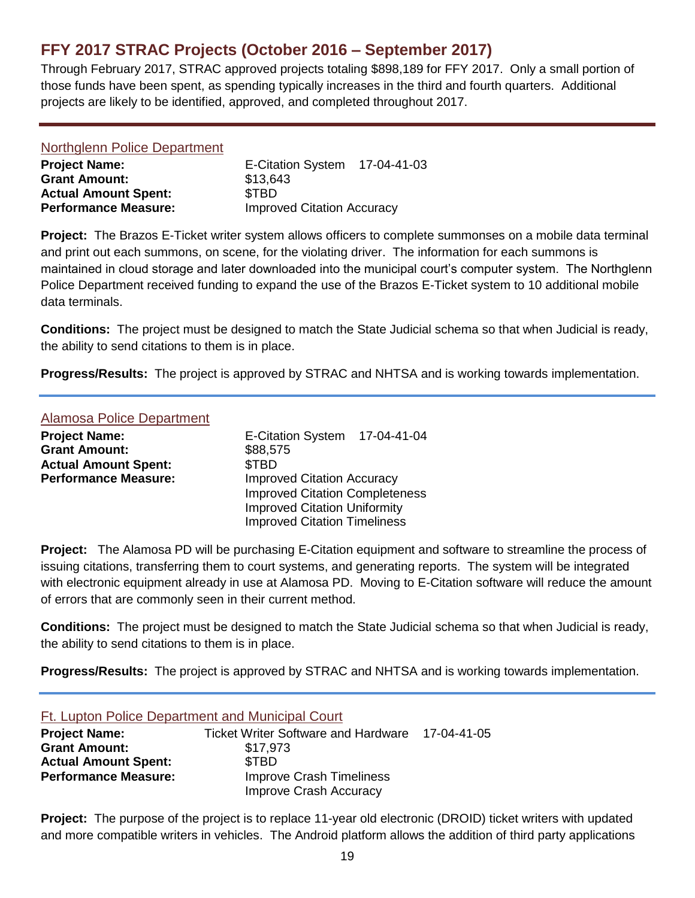# <span id="page-18-0"></span>**FFY 2017 STRAC Projects (October 2016 – September 2017)**

Through February 2017, STRAC approved projects totaling \$898,189 for FFY 2017. Only a small portion of those funds have been spent, as spending typically increases in the third and fourth quarters. Additional projects are likely to be identified, approved, and completed throughout 2017.

| Northglenn Police Department |                                   |  |
|------------------------------|-----------------------------------|--|
| <b>Project Name:</b>         | E-Citation System 17-04-41-03     |  |
| <b>Grant Amount:</b>         | \$13,643                          |  |
| <b>Actual Amount Spent:</b>  | <b>STBD</b>                       |  |
| <b>Performance Measure:</b>  | <b>Improved Citation Accuracy</b> |  |

**Project:** The Brazos E-Ticket writer system allows officers to complete summonses on a mobile data terminal and print out each summons, on scene, for the violating driver. The information for each summons is maintained in cloud storage and later downloaded into the municipal court's computer system. The Northglenn Police Department received funding to expand the use of the Brazos E-Ticket system to 10 additional mobile data terminals.

**Conditions:** The project must be designed to match the State Judicial schema so that when Judicial is ready, the ability to send citations to them is in place.

**Progress/Results:** The project is approved by STRAC and NHTSA and is working towards implementation.

#### Alamosa Police Department

| <b>Project Name:</b>        | E-Citation System 17-04-41-04         |  |
|-----------------------------|---------------------------------------|--|
| <b>Grant Amount:</b>        | \$88,575                              |  |
| <b>Actual Amount Spent:</b> | \$TBD                                 |  |
| <b>Performance Measure:</b> | <b>Improved Citation Accuracy</b>     |  |
|                             | <b>Improved Citation Completeness</b> |  |
|                             | <b>Improved Citation Uniformity</b>   |  |
|                             | <b>Improved Citation Timeliness</b>   |  |

**Project:** The Alamosa PD will be purchasing E-Citation equipment and software to streamline the process of issuing citations, transferring them to court systems, and generating reports. The system will be integrated with electronic equipment already in use at Alamosa PD. Moving to E-Citation software will reduce the amount of errors that are commonly seen in their current method.

**Conditions:** The project must be designed to match the State Judicial schema so that when Judicial is ready, the ability to send citations to them is in place.

**Progress/Results:** The project is approved by STRAC and NHTSA and is working towards implementation.

| Ft. Lupton Police Department and Municipal Court |                                            |             |
|--------------------------------------------------|--------------------------------------------|-------------|
| <b>Project Name:</b>                             | <b>Ticket Writer Software and Hardware</b> | 17-04-41-05 |
| <b>Grant Amount:</b>                             | \$17,973                                   |             |
| <b>Actual Amount Spent:</b>                      | <b>STBD</b>                                |             |
| <b>Performance Measure:</b>                      | <b>Improve Crash Timeliness</b>            |             |
|                                                  | Improve Crash Accuracy                     |             |

**Project:** The purpose of the project is to replace 11-year old electronic (DROID) ticket writers with updated and more compatible writers in vehicles. The Android platform allows the addition of third party applications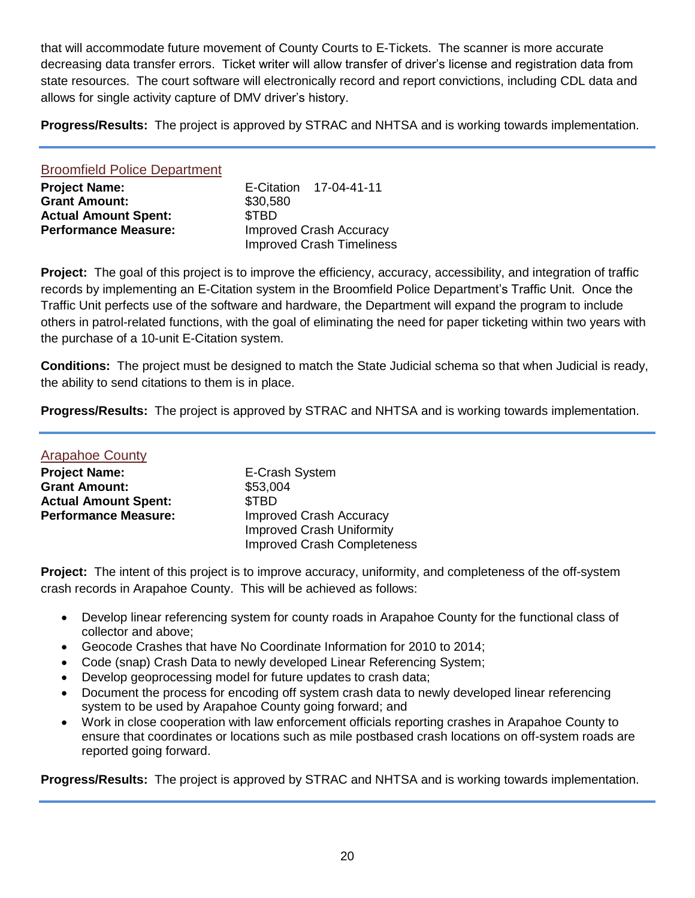that will accommodate future movement of County Courts to E-Tickets. The scanner is more accurate decreasing data transfer errors. Ticket writer will allow transfer of driver's license and registration data from state resources. The court software will electronically record and report convictions, including CDL data and allows for single activity capture of DMV driver's history.

**Progress/Results:** The project is approved by STRAC and NHTSA and is working towards implementation.

| <b>Broomfield Police Department</b> |          |                                  |
|-------------------------------------|----------|----------------------------------|
| <b>Project Name:</b>                |          | E-Citation 17-04-41-11           |
| <b>Grant Amount:</b>                | \$30,580 |                                  |
| <b>Actual Amount Spent:</b>         | \$TBD    |                                  |
| <b>Performance Measure:</b>         |          | <b>Improved Crash Accuracy</b>   |
|                                     |          | <b>Improved Crash Timeliness</b> |

**Project:** The goal of this project is to improve the efficiency, accuracy, accessibility, and integration of traffic records by implementing an E-Citation system in the Broomfield Police Department's Traffic Unit. Once the Traffic Unit perfects use of the software and hardware, the Department will expand the program to include others in patrol-related functions, with the goal of eliminating the need for paper ticketing within two years with the purchase of a 10-unit E-Citation system.

**Conditions:** The project must be designed to match the State Judicial schema so that when Judicial is ready, the ability to send citations to them is in place.

**Progress/Results:** The project is approved by STRAC and NHTSA and is working towards implementation.

| <b>Arapahoe County</b>      |                                    |
|-----------------------------|------------------------------------|
| <b>Project Name:</b>        | E-Crash System                     |
| <b>Grant Amount:</b>        | \$53,004                           |
| <b>Actual Amount Spent:</b> | \$TBD                              |
| <b>Performance Measure:</b> | <b>Improved Crash Accuracy</b>     |
|                             | <b>Improved Crash Uniformity</b>   |
|                             | <b>Improved Crash Completeness</b> |

**Project:** The intent of this project is to improve accuracy, uniformity, and completeness of the off-system crash records in Arapahoe County. This will be achieved as follows:

- Develop linear referencing system for county roads in Arapahoe County for the functional class of collector and above;
- Geocode Crashes that have No Coordinate Information for 2010 to 2014;
- Code (snap) Crash Data to newly developed Linear Referencing System;
- Develop geoprocessing model for future updates to crash data;
- Document the process for encoding off system crash data to newly developed linear referencing system to be used by Arapahoe County going forward; and
- Work in close cooperation with law enforcement officials reporting crashes in Arapahoe County to ensure that coordinates or locations such as mile postbased crash locations on off-system roads are reported going forward.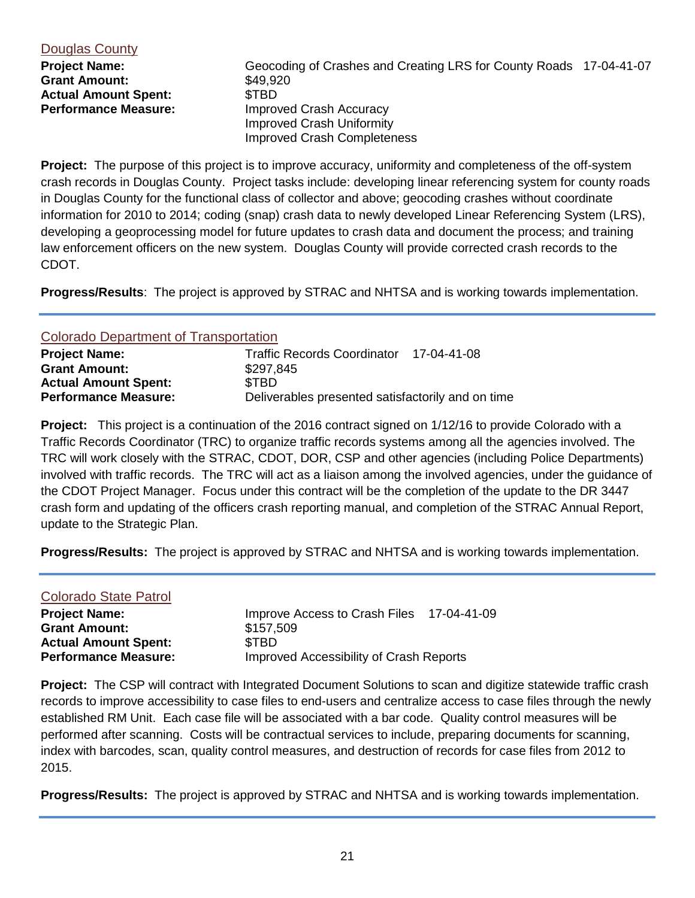#### Douglas County

**Grant Amount:** \$49,920 Actual Amount Spent: \$TBD

**Project Name:** Geocoding of Crashes and Creating LRS for County Roads 17-04-41-07 **Performance Measure:** Improved Crash Accuracy Improved Crash Uniformity Improved Crash Completeness

**Project:** The purpose of this project is to improve accuracy, uniformity and completeness of the off-system crash records in Douglas County. Project tasks include: developing linear referencing system for county roads in Douglas County for the functional class of collector and above; geocoding crashes without coordinate information for 2010 to 2014; coding (snap) crash data to newly developed Linear Referencing System (LRS), developing a geoprocessing model for future updates to crash data and document the process; and training law enforcement officers on the new system. Douglas County will provide corrected crash records to the CDOT.

**Progress/Results**: The project is approved by STRAC and NHTSA and is working towards implementation.

#### Colorado Department of Transportation

| <b>Project Name:</b>        | Traffic Records Coordinator 17-04-41-08           |  |
|-----------------------------|---------------------------------------------------|--|
| <b>Grant Amount:</b>        | \$297,845                                         |  |
| <b>Actual Amount Spent:</b> | <b>STBD</b>                                       |  |
| <b>Performance Measure:</b> | Deliverables presented satisfactorily and on time |  |

**Project:** This project is a continuation of the 2016 contract signed on 1/12/16 to provide Colorado with a Traffic Records Coordinator (TRC) to organize traffic records systems among all the agencies involved. The TRC will work closely with the STRAC, CDOT, DOR, CSP and other agencies (including Police Departments) involved with traffic records. The TRC will act as a liaison among the involved agencies, under the guidance of the CDOT Project Manager. Focus under this contract will be the completion of the update to the DR 3447 crash form and updating of the officers crash reporting manual, and completion of the STRAC Annual Report, update to the Strategic Plan.

**Progress/Results:** The project is approved by STRAC and NHTSA and is working towards implementation.

| <b>Colorado State Patrol</b> |                                           |  |
|------------------------------|-------------------------------------------|--|
| <b>Project Name:</b>         | Improve Access to Crash Files 17-04-41-09 |  |
| <b>Grant Amount:</b>         | \$157,509                                 |  |
| <b>Actual Amount Spent:</b>  | <b>STBD</b>                               |  |
| <b>Performance Measure:</b>  | Improved Accessibility of Crash Reports   |  |

**Project:** The CSP will contract with Integrated Document Solutions to scan and digitize statewide traffic crash records to improve accessibility to case files to end-users and centralize access to case files through the newly established RM Unit. Each case file will be associated with a bar code. Quality control measures will be performed after scanning. Costs will be contractual services to include, preparing documents for scanning, index with barcodes, scan, quality control measures, and destruction of records for case files from 2012 to 2015.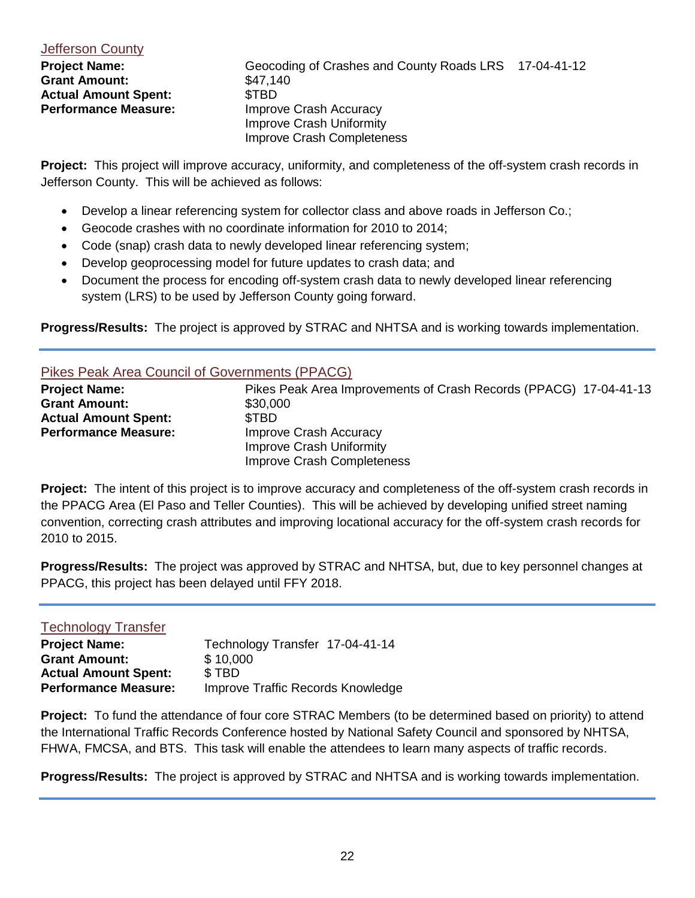#### **Jefferson County**

**Grant Amount:** \$47,140 Actual Amount Spent: \$TBD

**Project Name:** Geocoding of Crashes and County Roads LRS 17-04-41-12 **Performance Measure:** Improve Crash Accuracy Improve Crash Uniformity Improve Crash Completeness

**Project:** This project will improve accuracy, uniformity, and completeness of the off-system crash records in Jefferson County. This will be achieved as follows:

- Develop a linear referencing system for collector class and above roads in Jefferson Co.;
- Geocode crashes with no coordinate information for 2010 to 2014;
- Code (snap) crash data to newly developed linear referencing system;
- Develop geoprocessing model for future updates to crash data; and
- Document the process for encoding off-system crash data to newly developed linear referencing system (LRS) to be used by Jefferson County going forward.

**Progress/Results:** The project is approved by STRAC and NHTSA and is working towards implementation.

#### Pikes Peak Area Council of Governments (PPACG)

| <b>Project Name:</b>        | Pikes Peak Area Improvements of Crash Records (PPACG) 17-04-41-13 |
|-----------------------------|-------------------------------------------------------------------|
| <b>Grant Amount:</b>        | \$30,000                                                          |
| <b>Actual Amount Spent:</b> | <b>STBD</b>                                                       |
| <b>Performance Measure:</b> | Improve Crash Accuracy                                            |
|                             | Improve Crash Uniformity                                          |
|                             | Improve Crash Completeness                                        |

**Project:** The intent of this project is to improve accuracy and completeness of the off-system crash records in the PPACG Area (El Paso and Teller Counties). This will be achieved by developing unified street naming convention, correcting crash attributes and improving locational accuracy for the off-system crash records for 2010 to 2015.

**Progress/Results:** The project was approved by STRAC and NHTSA, but, due to key personnel changes at PPACG, this project has been delayed until FFY 2018.

#### Technology Transfer

| Technology Transfer 17-04-41-14   |
|-----------------------------------|
| \$10,000                          |
| \$TBD                             |
| Improve Traffic Records Knowledge |
|                                   |

**Project:** To fund the attendance of four core STRAC Members (to be determined based on priority) to attend the International Traffic Records Conference hosted by National Safety Council and sponsored by NHTSA, FHWA, FMCSA, and BTS. This task will enable the attendees to learn many aspects of traffic records.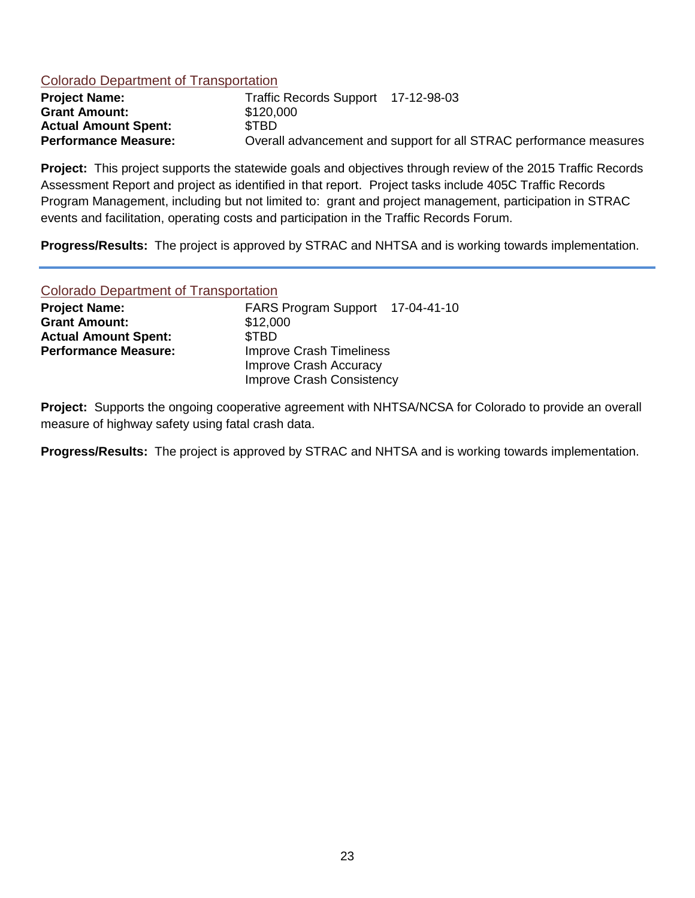#### Colorado Department of Transportation

| <b>Project Name:</b>        | Traffic Records Support 17-12-98-03                                |
|-----------------------------|--------------------------------------------------------------------|
| <b>Grant Amount:</b>        | \$120,000                                                          |
| <b>Actual Amount Spent:</b> | <b>STBD</b>                                                        |
| <b>Performance Measure:</b> | Overall advancement and support for all STRAC performance measures |

**Project:** This project supports the statewide goals and objectives through review of the 2015 Traffic Records Assessment Report and project as identified in that report. Project tasks include 405C Traffic Records Program Management, including but not limited to: grant and project management, participation in STRAC events and facilitation, operating costs and participation in the Traffic Records Forum.

**Progress/Results:** The project is approved by STRAC and NHTSA and is working towards implementation.

#### Colorado Department of Transportation

| <b>Project Name:</b>        | FARS Program Support 17-04-41-10 |
|-----------------------------|----------------------------------|
| <b>Grant Amount:</b>        | \$12,000                         |
| <b>Actual Amount Spent:</b> | \$TBD                            |
| <b>Performance Measure:</b> | <b>Improve Crash Timeliness</b>  |
|                             | Improve Crash Accuracy           |
|                             | Improve Crash Consistency        |

**Project:** Supports the ongoing cooperative agreement with NHTSA/NCSA for Colorado to provide an overall measure of highway safety using fatal crash data.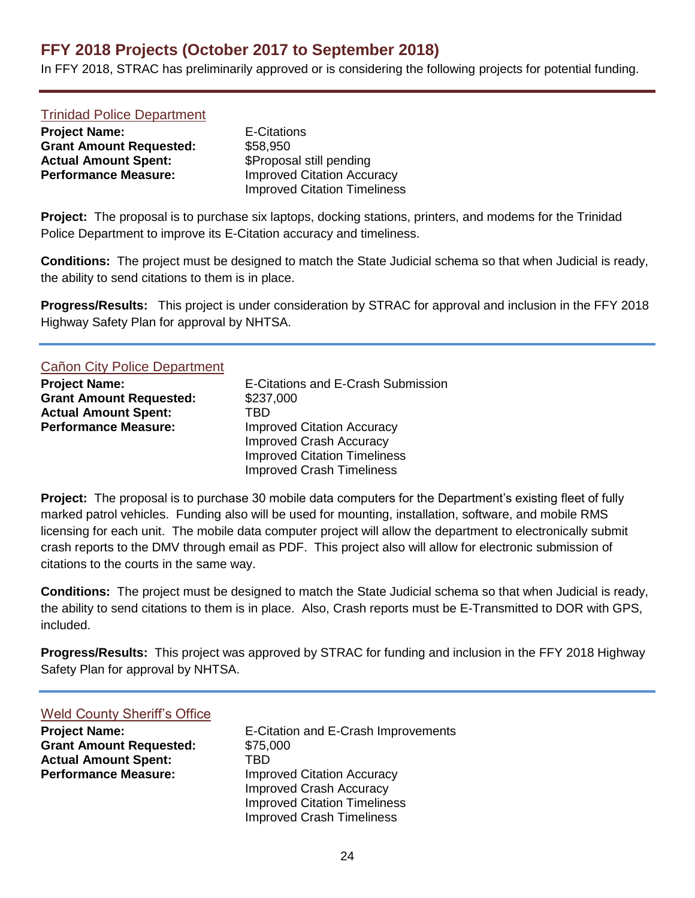# <span id="page-23-0"></span>**FFY 2018 Projects (October 2017 to September 2018)**

In FFY 2018, STRAC has preliminarily approved or is considering the following projects for potential funding.

#### Trinidad Police Department

**Project Name:** E-Citations **Grant Amount Requested:** \$58,950 **Actual Amount Spent:** \$Proposal still pending **Performance Measure: Improved Citation Accuracy** 

Improved Citation Timeliness

**Project:** The proposal is to purchase six laptops, docking stations, printers, and modems for the Trinidad Police Department to improve its E-Citation accuracy and timeliness.

**Conditions:** The project must be designed to match the State Judicial schema so that when Judicial is ready, the ability to send citations to them is in place.

**Progress/Results:** This project is under consideration by STRAC for approval and inclusion in the FFY 2018 Highway Safety Plan for approval by NHTSA.

#### Cañon City Police Department

| <b>Project Name:</b>           | E-Citations and E-Crash Submission  |
|--------------------------------|-------------------------------------|
| <b>Grant Amount Requested:</b> | \$237,000                           |
| <b>Actual Amount Spent:</b>    | TRD                                 |
| <b>Performance Measure:</b>    | <b>Improved Citation Accuracy</b>   |
|                                | <b>Improved Crash Accuracy</b>      |
|                                | <b>Improved Citation Timeliness</b> |
|                                | <b>Improved Crash Timeliness</b>    |

**Project:** The proposal is to purchase 30 mobile data computers for the Department's existing fleet of fully marked patrol vehicles. Funding also will be used for mounting, installation, software, and mobile RMS licensing for each unit. The mobile data computer project will allow the department to electronically submit crash reports to the DMV through email as PDF. This project also will allow for electronic submission of citations to the courts in the same way.

**Conditions:** The project must be designed to match the State Judicial schema so that when Judicial is ready, the ability to send citations to them is in place. Also, Crash reports must be E-Transmitted to DOR with GPS, included.

**Progress/Results:** This project was approved by STRAC for funding and inclusion in the FFY 2018 Highway Safety Plan for approval by NHTSA.

#### Weld County Sheriff's Office

**Grant Amount Requested:** \$75,000 **Actual Amount Spent:** TBD<br> **Performance Measure:** Improm

**Project Name:** E-Citation and E-Crash Improvements **Improved Citation Accuracy** Improved Crash Accuracy Improved Citation Timeliness Improved Crash Timeliness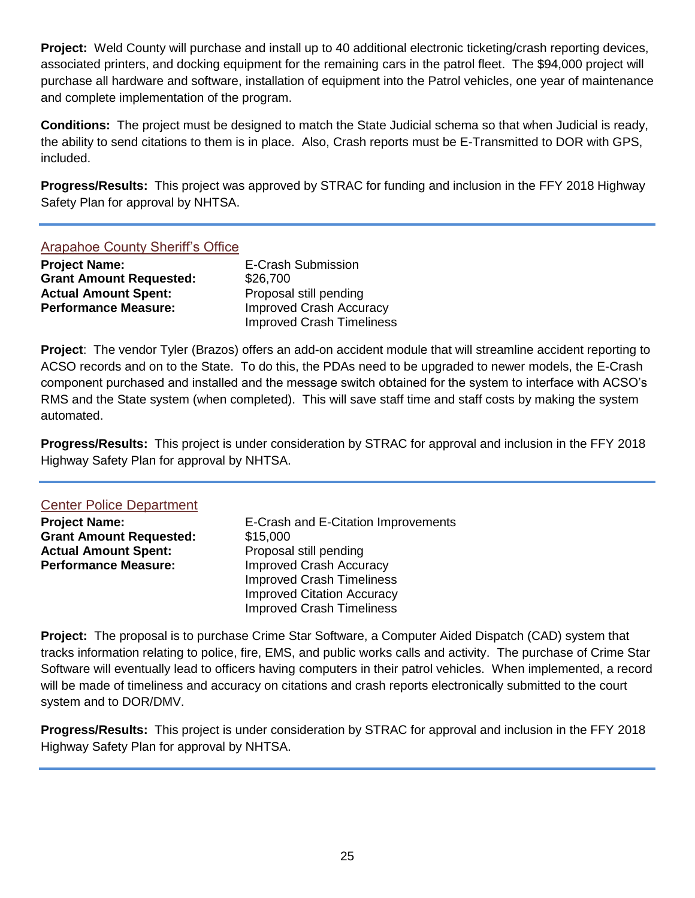**Project:** Weld County will purchase and install up to 40 additional electronic ticketing/crash reporting devices, associated printers, and docking equipment for the remaining cars in the patrol fleet. The \$94,000 project will purchase all hardware and software, installation of equipment into the Patrol vehicles, one year of maintenance and complete implementation of the program.

**Conditions:** The project must be designed to match the State Judicial schema so that when Judicial is ready, the ability to send citations to them is in place. Also, Crash reports must be E-Transmitted to DOR with GPS, included.

**Progress/Results:** This project was approved by STRAC for funding and inclusion in the FFY 2018 Highway Safety Plan for approval by NHTSA.

#### Arapahoe County Sheriff's Office

| <b>Project Name:</b>           | E-Crash Submission               |
|--------------------------------|----------------------------------|
| <b>Grant Amount Requested:</b> | \$26,700                         |
| <b>Actual Amount Spent:</b>    | Proposal still pending           |
| <b>Performance Measure:</b>    | <b>Improved Crash Accuracy</b>   |
|                                | <b>Improved Crash Timeliness</b> |

**Project**: The vendor Tyler (Brazos) offers an add-on accident module that will streamline accident reporting to ACSO records and on to the State. To do this, the PDAs need to be upgraded to newer models, the E-Crash component purchased and installed and the message switch obtained for the system to interface with ACSO's RMS and the State system (when completed). This will save staff time and staff costs by making the system automated.

**Progress/Results:** This project is under consideration by STRAC for approval and inclusion in the FFY 2018 Highway Safety Plan for approval by NHTSA.

#### Center Police Department

**Grant Amount Requested:** \$15,000 Actual Amount Spent: Proposal still pending **Performance Measure:** Improved Crash Accuracy

**Project Name:** E-Crash and E-Citation Improvements Improved Crash Timeliness Improved Citation Accuracy Improved Crash Timeliness

**Project:** The proposal is to purchase Crime Star Software, a Computer Aided Dispatch (CAD) system that tracks information relating to police, fire, EMS, and public works calls and activity. The purchase of Crime Star Software will eventually lead to officers having computers in their patrol vehicles. When implemented, a record will be made of timeliness and accuracy on citations and crash reports electronically submitted to the court system and to DOR/DMV.

**Progress/Results:** This project is under consideration by STRAC for approval and inclusion in the FFY 2018 Highway Safety Plan for approval by NHTSA.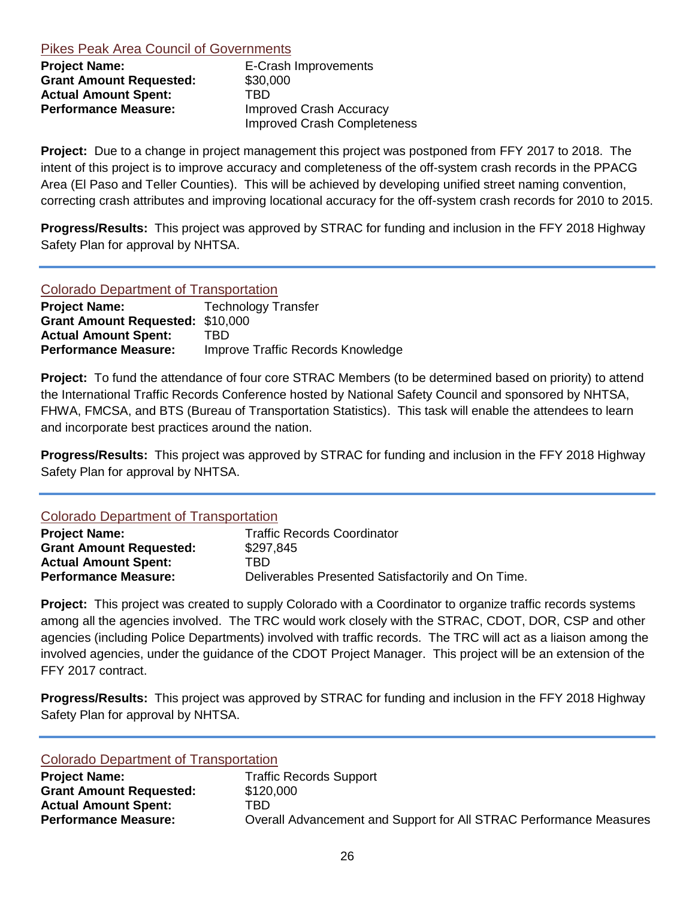#### Pikes Peak Area Council of Governments

| <b>Project Name:</b>           | E-Crash Improvements               |
|--------------------------------|------------------------------------|
| <b>Grant Amount Requested:</b> | \$30,000                           |
| <b>Actual Amount Spent:</b>    | TRD                                |
| <b>Performance Measure:</b>    | Improved Crash Accuracy            |
|                                | <b>Improved Crash Completeness</b> |

**Project:** Due to a change in project management this project was postponed from FFY 2017 to 2018. The intent of this project is to improve accuracy and completeness of the off-system crash records in the PPACG Area (El Paso and Teller Counties). This will be achieved by developing unified street naming convention, correcting crash attributes and improving locational accuracy for the off-system crash records for 2010 to 2015.

**Progress/Results:** This project was approved by STRAC for funding and inclusion in the FFY 2018 Highway Safety Plan for approval by NHTSA.

#### Colorado Department of Transportation

| <b>Project Name:</b>                    | <b>Technology Transfer</b>        |
|-----------------------------------------|-----------------------------------|
| <b>Grant Amount Requested: \$10,000</b> |                                   |
| <b>Actual Amount Spent:</b>             | TBD                               |
| <b>Performance Measure:</b>             | Improve Traffic Records Knowledge |

**Project:** To fund the attendance of four core STRAC Members (to be determined based on priority) to attend the International Traffic Records Conference hosted by National Safety Council and sponsored by NHTSA, FHWA, FMCSA, and BTS (Bureau of Transportation Statistics). This task will enable the attendees to learn and incorporate best practices around the nation.

**Progress/Results:** This project was approved by STRAC for funding and inclusion in the FFY 2018 Highway Safety Plan for approval by NHTSA.

#### Colorado Department of Transportation

| <b>Project Name:</b>           | <b>Traffic Records Coordinator</b>                 |
|--------------------------------|----------------------------------------------------|
| <b>Grant Amount Requested:</b> | \$297,845                                          |
| <b>Actual Amount Spent:</b>    | TBD                                                |
| <b>Performance Measure:</b>    | Deliverables Presented Satisfactorily and On Time. |

**Project:** This project was created to supply Colorado with a Coordinator to organize traffic records systems among all the agencies involved. The TRC would work closely with the STRAC, CDOT, DOR, CSP and other agencies (including Police Departments) involved with traffic records. The TRC will act as a liaison among the involved agencies, under the guidance of the CDOT Project Manager. This project will be an extension of the FFY 2017 contract.

**Progress/Results:** This project was approved by STRAC for funding and inclusion in the FFY 2018 Highway Safety Plan for approval by NHTSA.

#### Colorado Department of Transportation

| <b>Project Name:</b>           | <b>Traffic Records Support</b>                                     |
|--------------------------------|--------------------------------------------------------------------|
| <b>Grant Amount Requested:</b> | \$120,000                                                          |
| <b>Actual Amount Spent:</b>    | TBD                                                                |
| <b>Performance Measure:</b>    | Overall Advancement and Support for All STRAC Performance Measures |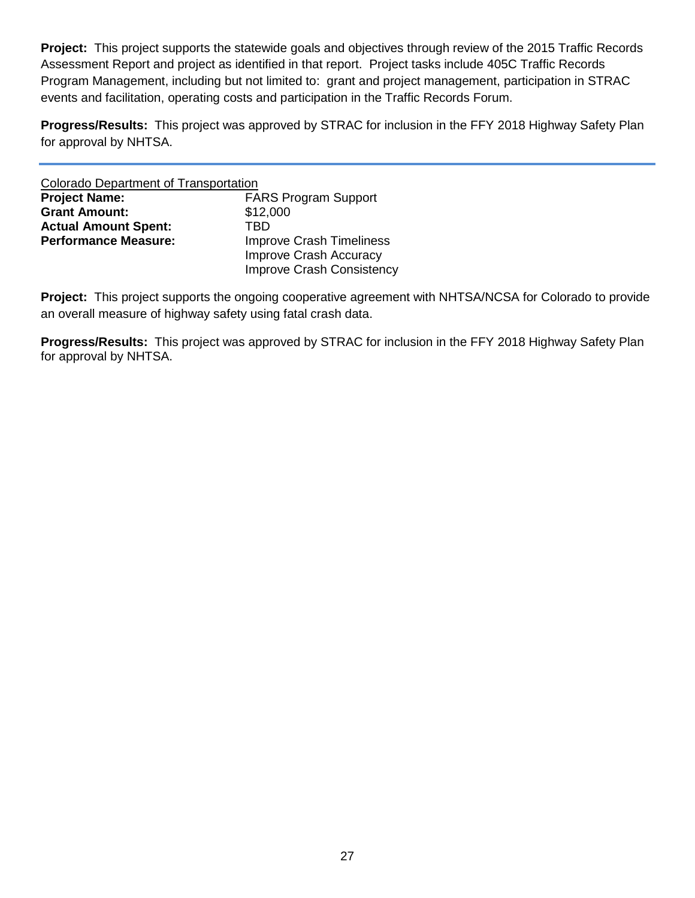**Project:** This project supports the statewide goals and objectives through review of the 2015 Traffic Records Assessment Report and project as identified in that report. Project tasks include 405C Traffic Records Program Management, including but not limited to: grant and project management, participation in STRAC events and facilitation, operating costs and participation in the Traffic Records Forum.

**Progress/Results:** This project was approved by STRAC for inclusion in the FFY 2018 Highway Safety Plan for approval by NHTSA.

| <b>Colorado Department of Transportation</b> |                                 |
|----------------------------------------------|---------------------------------|
| <b>Project Name:</b>                         | <b>FARS Program Support</b>     |
| <b>Grant Amount:</b>                         | \$12,000                        |
| <b>Actual Amount Spent:</b>                  | TRD                             |
| <b>Performance Measure:</b>                  | <b>Improve Crash Timeliness</b> |
|                                              | <b>Improve Crash Accuracy</b>   |
|                                              | Improve Crash Consistency       |

**Project:** This project supports the ongoing cooperative agreement with NHTSA/NCSA for Colorado to provide an overall measure of highway safety using fatal crash data.

**Progress/Results:** This project was approved by STRAC for inclusion in the FFY 2018 Highway Safety Plan for approval by NHTSA.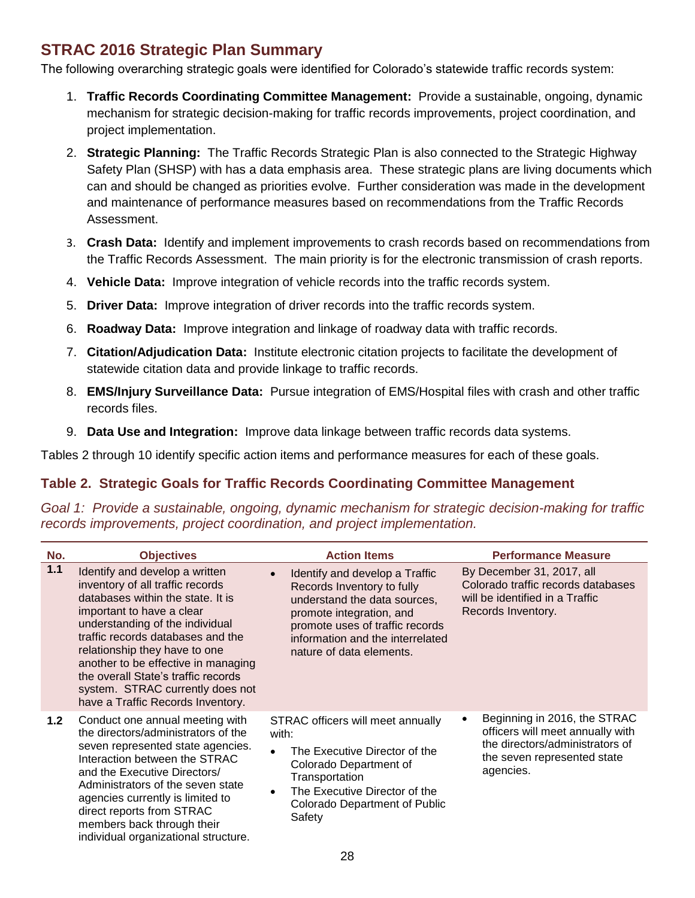# <span id="page-27-0"></span>**STRAC 2016 Strategic Plan Summary**

The following overarching strategic goals were identified for Colorado's statewide traffic records system:

- 1. **Traffic Records Coordinating Committee Management:** Provide a sustainable, ongoing, dynamic mechanism for strategic decision-making for traffic records improvements, project coordination, and project implementation.
- 2. **Strategic Planning:** The Traffic Records Strategic Plan is also connected to the Strategic Highway Safety Plan (SHSP) with has a data emphasis area. These strategic plans are living documents which can and should be changed as priorities evolve. Further consideration was made in the development and maintenance of performance measures based on recommendations from the Traffic Records Assessment.
- 3. **Crash Data:** Identify and implement improvements to crash records based on recommendations from the Traffic Records Assessment. The main priority is for the electronic transmission of crash reports.
- 4. **Vehicle Data:** Improve integration of vehicle records into the traffic records system.
- 5. **Driver Data:** Improve integration of driver records into the traffic records system.
- 6. **Roadway Data:** Improve integration and linkage of roadway data with traffic records.
- 7. **Citation/Adjudication Data:** Institute electronic citation projects to facilitate the development of statewide citation data and provide linkage to traffic records.
- 8. **EMS/Injury Surveillance Data:** Pursue integration of EMS/Hospital files with crash and other traffic records files.
- 9. **Data Use and Integration:** Improve data linkage between traffic records data systems.

Tables 2 through 10 identify specific action items and performance measures for each of these goals.

## **Table 2. Strategic Goals for Traffic Records Coordinating Committee Management**

*Goal 1: Provide a sustainable, ongoing, dynamic mechanism for strategic decision-making for traffic records improvements, project coordination, and project implementation.*

| No.   | <b>Objectives</b>                                                                                                                                                                                                                                                                                                                                                                                    | <b>Action Items</b>                                                                                                                                                                                                                      | <b>Performance Measure</b>                                                                                                                           |
|-------|------------------------------------------------------------------------------------------------------------------------------------------------------------------------------------------------------------------------------------------------------------------------------------------------------------------------------------------------------------------------------------------------------|------------------------------------------------------------------------------------------------------------------------------------------------------------------------------------------------------------------------------------------|------------------------------------------------------------------------------------------------------------------------------------------------------|
| 1.1   | Identify and develop a written<br>inventory of all traffic records<br>databases within the state. It is<br>important to have a clear<br>understanding of the individual<br>traffic records databases and the<br>relationship they have to one<br>another to be effective in managing<br>the overall State's traffic records<br>system. STRAC currently does not<br>have a Traffic Records Inventory. | Identify and develop a Traffic<br>$\bullet$<br>Records Inventory to fully<br>understand the data sources,<br>promote integration, and<br>promote uses of traffic records<br>information and the interrelated<br>nature of data elements. | By December 31, 2017, all<br>Colorado traffic records databases<br>will be identified in a Traffic<br>Records Inventory.                             |
| $1.2$ | Conduct one annual meeting with<br>the directors/administrators of the<br>seven represented state agencies.<br>Interaction between the STRAC<br>and the Executive Directors/<br>Administrators of the seven state<br>agencies currently is limited to<br>direct reports from STRAC<br>members back through their<br>individual organizational structure.                                             | STRAC officers will meet annually<br>with:<br>The Executive Director of the<br>$\bullet$<br>Colorado Department of<br>Transportation<br>The Executive Director of the<br>$\bullet$<br>Colorado Department of Public<br>Safety            | Beginning in 2016, the STRAC<br>٠<br>officers will meet annually with<br>the directors/administrators of<br>the seven represented state<br>agencies. |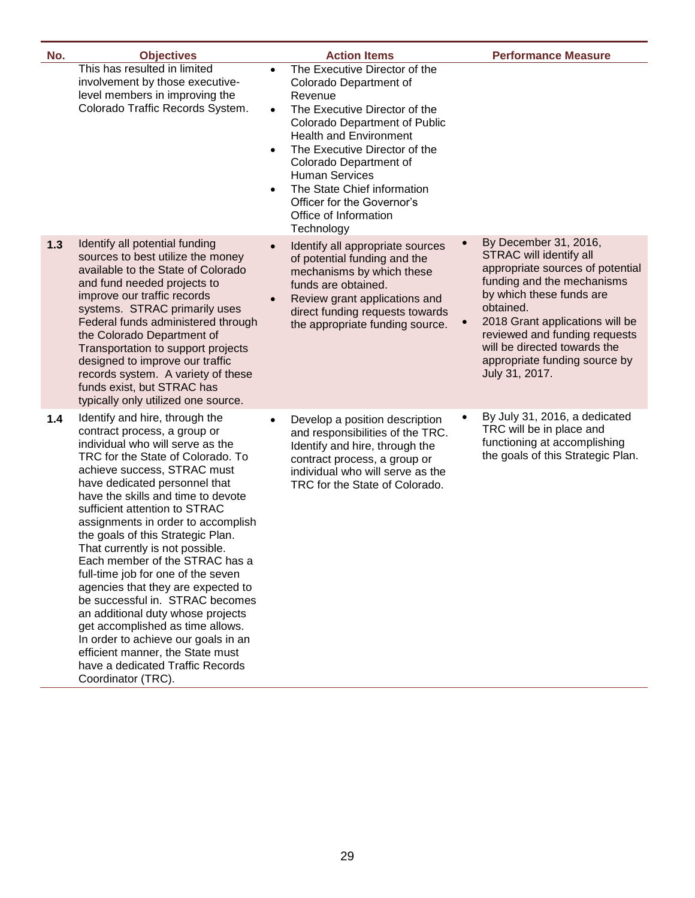| No.   | <b>Objectives</b>                                                                                                                                                                                                                                                                                                                                                                                                                                                                                                                                                                                                                                                                                                                                                        | <b>Action Items</b>                                                                                                                                                                                                                                                                                                                                                  | <b>Performance Measure</b>                                                                                                                                                                                                                                                                                                      |
|-------|--------------------------------------------------------------------------------------------------------------------------------------------------------------------------------------------------------------------------------------------------------------------------------------------------------------------------------------------------------------------------------------------------------------------------------------------------------------------------------------------------------------------------------------------------------------------------------------------------------------------------------------------------------------------------------------------------------------------------------------------------------------------------|----------------------------------------------------------------------------------------------------------------------------------------------------------------------------------------------------------------------------------------------------------------------------------------------------------------------------------------------------------------------|---------------------------------------------------------------------------------------------------------------------------------------------------------------------------------------------------------------------------------------------------------------------------------------------------------------------------------|
|       | This has resulted in limited<br>$\bullet$<br>involvement by those executive-<br>level members in improving the<br>Colorado Traffic Records System.<br>$\bullet$<br>$\bullet$<br>$\bullet$                                                                                                                                                                                                                                                                                                                                                                                                                                                                                                                                                                                | The Executive Director of the<br>Colorado Department of<br>Revenue<br>The Executive Director of the<br><b>Colorado Department of Public</b><br><b>Health and Environment</b><br>The Executive Director of the<br>Colorado Department of<br><b>Human Services</b><br>The State Chief information<br>Officer for the Governor's<br>Office of Information<br>Technology |                                                                                                                                                                                                                                                                                                                                 |
| $1.3$ | Identify all potential funding<br>$\bullet$<br>sources to best utilize the money<br>available to the State of Colorado<br>and fund needed projects to<br>improve our traffic records<br>$\bullet$<br>systems. STRAC primarily uses<br>Federal funds administered through<br>the Colorado Department of<br>Transportation to support projects<br>designed to improve our traffic<br>records system. A variety of these<br>funds exist, but STRAC has<br>typically only utilized one source.                                                                                                                                                                                                                                                                               | Identify all appropriate sources<br>of potential funding and the<br>mechanisms by which these<br>funds are obtained.<br>Review grant applications and<br>direct funding requests towards<br>the appropriate funding source.                                                                                                                                          | By December 31, 2016,<br>STRAC will identify all<br>appropriate sources of potential<br>funding and the mechanisms<br>by which these funds are<br>obtained.<br>2018 Grant applications will be<br>$\bullet$<br>reviewed and funding requests<br>will be directed towards the<br>appropriate funding source by<br>July 31, 2017. |
| 1.4   | Identify and hire, through the<br>$\bullet$<br>contract process, a group or<br>individual who will serve as the<br>TRC for the State of Colorado. To<br>achieve success, STRAC must<br>have dedicated personnel that<br>have the skills and time to devote<br>sufficient attention to STRAC<br>assignments in order to accomplish<br>the goals of this Strategic Plan.<br>That currently is not possible.<br>Each member of the STRAC has a<br>full-time job for one of the seven<br>agencies that they are expected to<br>be successful in. STRAC becomes<br>an additional duty whose projects<br>get accomplished as time allows.<br>In order to achieve our goals in an<br>efficient manner, the State must<br>have a dedicated Traffic Records<br>Coordinator (TRC). | Develop a position description<br>and responsibilities of the TRC.<br>Identify and hire, through the<br>contract process, a group or<br>individual who will serve as the<br>TRC for the State of Colorado.                                                                                                                                                           | By July 31, 2016, a dedicated<br>٠<br>TRC will be in place and<br>functioning at accomplishing<br>the goals of this Strategic Plan.                                                                                                                                                                                             |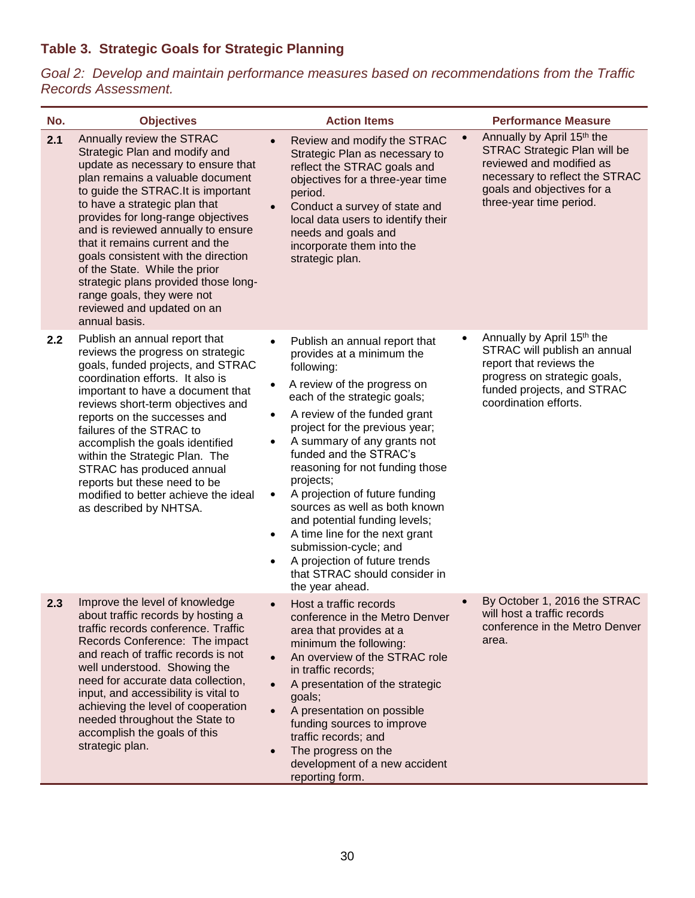## **Table 3. Strategic Goals for Strategic Planning**

*Goal 2: Develop and maintain performance measures based on recommendations from the Traffic Records Assessment.*

| No. | <b>Objectives</b>                                                                                                                                                                                                                                                                                                                                                                                                                                                                                                        | <b>Action Items</b>                                                                                                                                                                                                                                                                                                                                                                                                                                                                                                                                                                                                                                       |           | <b>Performance Measure</b>                                                                                                                                                               |
|-----|--------------------------------------------------------------------------------------------------------------------------------------------------------------------------------------------------------------------------------------------------------------------------------------------------------------------------------------------------------------------------------------------------------------------------------------------------------------------------------------------------------------------------|-----------------------------------------------------------------------------------------------------------------------------------------------------------------------------------------------------------------------------------------------------------------------------------------------------------------------------------------------------------------------------------------------------------------------------------------------------------------------------------------------------------------------------------------------------------------------------------------------------------------------------------------------------------|-----------|------------------------------------------------------------------------------------------------------------------------------------------------------------------------------------------|
| 2.1 | Annually review the STRAC<br>Strategic Plan and modify and<br>update as necessary to ensure that<br>plan remains a valuable document<br>to guide the STRAC. It is important<br>to have a strategic plan that<br>provides for long-range objectives<br>and is reviewed annually to ensure<br>that it remains current and the<br>goals consistent with the direction<br>of the State. While the prior<br>strategic plans provided those long-<br>range goals, they were not<br>reviewed and updated on an<br>annual basis. | Review and modify the STRAC<br>$\bullet$<br>Strategic Plan as necessary to<br>reflect the STRAC goals and<br>objectives for a three-year time<br>period.<br>Conduct a survey of state and<br>$\bullet$<br>local data users to identify their<br>needs and goals and<br>incorporate them into the<br>strategic plan.                                                                                                                                                                                                                                                                                                                                       | $\bullet$ | Annually by April 15th the<br><b>STRAC Strategic Plan will be</b><br>reviewed and modified as<br>necessary to reflect the STRAC<br>goals and objectives for a<br>three-year time period. |
| 2.2 | Publish an annual report that<br>reviews the progress on strategic<br>goals, funded projects, and STRAC<br>coordination efforts. It also is<br>important to have a document that<br>reviews short-term objectives and<br>reports on the successes and<br>failures of the STRAC to<br>accomplish the goals identified<br>within the Strategic Plan. The<br>STRAC has produced annual<br>reports but these need to be<br>modified to better achieve the ideal<br>as described by NHTSA.                                    | Publish an annual report that<br>$\bullet$<br>provides at a minimum the<br>following:<br>A review of the progress on<br>$\bullet$<br>each of the strategic goals;<br>A review of the funded grant<br>$\bullet$<br>project for the previous year;<br>A summary of any grants not<br>$\bullet$<br>funded and the STRAC's<br>reasoning for not funding those<br>projects;<br>A projection of future funding<br>$\bullet$<br>sources as well as both known<br>and potential funding levels;<br>A time line for the next grant<br>٠<br>submission-cycle; and<br>A projection of future trends<br>$\bullet$<br>that STRAC should consider in<br>the year ahead. | ٠         | Annually by April 15th the<br>STRAC will publish an annual<br>report that reviews the<br>progress on strategic goals,<br>funded projects, and STRAC<br>coordination efforts.             |
| 2.3 | Improve the level of knowledge<br>about traffic records by hosting a<br>traffic records conference. Traffic<br>Records Conference: The impact<br>and reach of traffic records is not<br>well understood. Showing the<br>need for accurate data collection,<br>input, and accessibility is vital to<br>achieving the level of cooperation<br>needed throughout the State to<br>accomplish the goals of this<br>strategic plan.                                                                                            | Host a traffic records<br>$\bullet$<br>conference in the Metro Denver<br>area that provides at a<br>minimum the following:<br>An overview of the STRAC role<br>$\bullet$<br>in traffic records;<br>A presentation of the strategic<br>$\bullet$<br>goals;<br>A presentation on possible<br>$\bullet$<br>funding sources to improve<br>traffic records; and<br>The progress on the<br>$\bullet$<br>development of a new accident<br>reporting form.                                                                                                                                                                                                        | $\bullet$ | By October 1, 2016 the STRAC<br>will host a traffic records<br>conference in the Metro Denver<br>area.                                                                                   |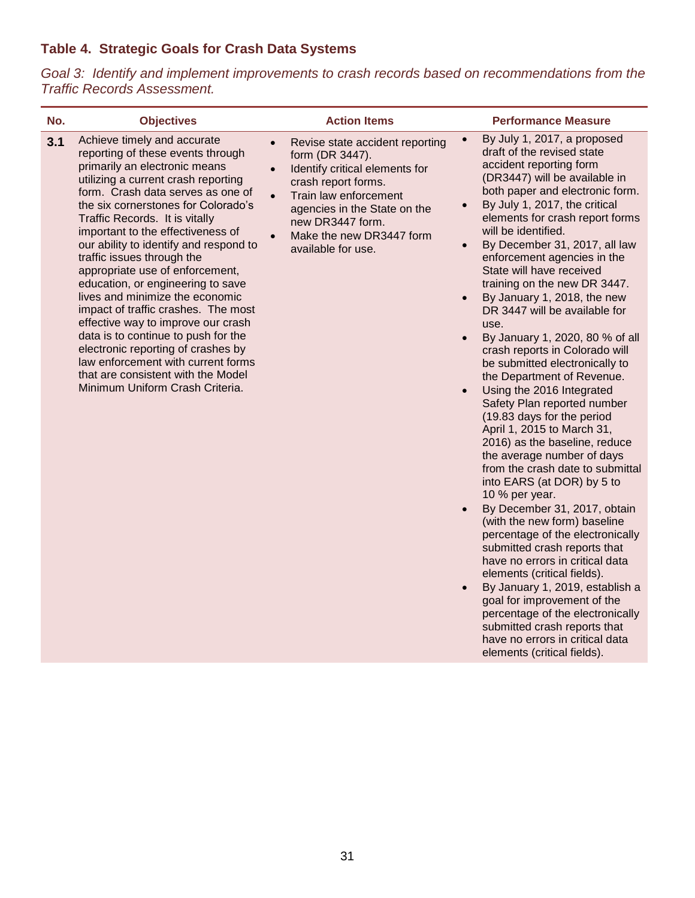## **Table 4. Strategic Goals for Crash Data Systems**

*Goal 3: Identify and implement improvements to crash records based on recommendations from the Traffic Records Assessment.*

| No. | <b>Objectives</b>                                                                                                                                                                                                                                                                                                                                                                                                                                                                                                                                                                                                                                                                                                                                       | <b>Action Items</b>                                                                                                                                                                                                                                                                            | <b>Performance Measure</b>                                                                                                                                                                                                                                                                                                                                                                                                                                                                                                                                                                                                                                                                                                                                                                                                                                                                                                                                                                                                                                                                                                                                                                                                                                                                                                                                                                    |
|-----|---------------------------------------------------------------------------------------------------------------------------------------------------------------------------------------------------------------------------------------------------------------------------------------------------------------------------------------------------------------------------------------------------------------------------------------------------------------------------------------------------------------------------------------------------------------------------------------------------------------------------------------------------------------------------------------------------------------------------------------------------------|------------------------------------------------------------------------------------------------------------------------------------------------------------------------------------------------------------------------------------------------------------------------------------------------|-----------------------------------------------------------------------------------------------------------------------------------------------------------------------------------------------------------------------------------------------------------------------------------------------------------------------------------------------------------------------------------------------------------------------------------------------------------------------------------------------------------------------------------------------------------------------------------------------------------------------------------------------------------------------------------------------------------------------------------------------------------------------------------------------------------------------------------------------------------------------------------------------------------------------------------------------------------------------------------------------------------------------------------------------------------------------------------------------------------------------------------------------------------------------------------------------------------------------------------------------------------------------------------------------------------------------------------------------------------------------------------------------|
| 3.1 | Achieve timely and accurate<br>reporting of these events through<br>primarily an electronic means<br>utilizing a current crash reporting<br>form. Crash data serves as one of<br>the six cornerstones for Colorado's<br>Traffic Records. It is vitally<br>important to the effectiveness of<br>our ability to identify and respond to<br>traffic issues through the<br>appropriate use of enforcement,<br>education, or engineering to save<br>lives and minimize the economic<br>impact of traffic crashes. The most<br>effective way to improve our crash<br>data is to continue to push for the<br>electronic reporting of crashes by<br>law enforcement with current forms<br>that are consistent with the Model<br>Minimum Uniform Crash Criteria. | Revise state accident reporting<br>$\bullet$<br>form (DR 3447).<br>Identify critical elements for<br>$\bullet$<br>crash report forms.<br>Train law enforcement<br>$\bullet$<br>agencies in the State on the<br>new DR3447 form.<br>Make the new DR3447 form<br>$\bullet$<br>available for use. | By July 1, 2017, a proposed<br>$\bullet$<br>draft of the revised state<br>accident reporting form<br>(DR3447) will be available in<br>both paper and electronic form.<br>By July 1, 2017, the critical<br>$\bullet$<br>elements for crash report forms<br>will be identified.<br>By December 31, 2017, all law<br>$\bullet$<br>enforcement agencies in the<br>State will have received<br>training on the new DR 3447.<br>By January 1, 2018, the new<br>$\bullet$<br>DR 3447 will be available for<br>use.<br>By January 1, 2020, 80 % of all<br>$\bullet$<br>crash reports in Colorado will<br>be submitted electronically to<br>the Department of Revenue.<br>Using the 2016 Integrated<br>$\bullet$<br>Safety Plan reported number<br>(19.83 days for the period<br>April 1, 2015 to March 31,<br>2016) as the baseline, reduce<br>the average number of days<br>from the crash date to submittal<br>into EARS (at DOR) by 5 to<br>10 % per year.<br>By December 31, 2017, obtain<br>$\bullet$<br>(with the new form) baseline<br>percentage of the electronically<br>submitted crash reports that<br>have no errors in critical data<br>elements (critical fields).<br>By January 1, 2019, establish a<br>$\bullet$<br>goal for improvement of the<br>percentage of the electronically<br>submitted crash reports that<br>have no errors in critical data<br>elements (critical fields). |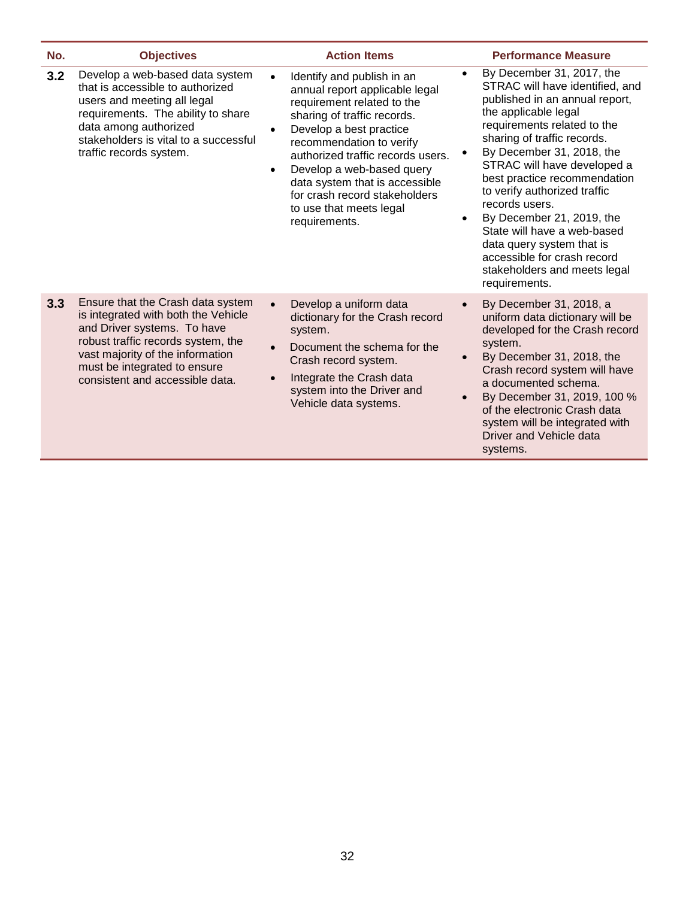| No. | <b>Objectives</b>                                                                                                                                                                                                                                    | <b>Action Items</b>                                                                                                                                                                                                                                                                                                                                                                                      | <b>Performance Measure</b>                                                                                                                                                                                                                                                                                                                                                                                                                                                                                                            |
|-----|------------------------------------------------------------------------------------------------------------------------------------------------------------------------------------------------------------------------------------------------------|----------------------------------------------------------------------------------------------------------------------------------------------------------------------------------------------------------------------------------------------------------------------------------------------------------------------------------------------------------------------------------------------------------|---------------------------------------------------------------------------------------------------------------------------------------------------------------------------------------------------------------------------------------------------------------------------------------------------------------------------------------------------------------------------------------------------------------------------------------------------------------------------------------------------------------------------------------|
| 3.2 | Develop a web-based data system<br>that is accessible to authorized<br>users and meeting all legal<br>requirements. The ability to share<br>data among authorized<br>stakeholders is vital to a successful<br>traffic records system.                | Identify and publish in an<br>$\bullet$<br>annual report applicable legal<br>requirement related to the<br>sharing of traffic records.<br>Develop a best practice<br>$\bullet$<br>recommendation to verify<br>authorized traffic records users.<br>Develop a web-based query<br>$\bullet$<br>data system that is accessible<br>for crash record stakeholders<br>to use that meets legal<br>requirements. | By December 31, 2017, the<br>$\bullet$<br>STRAC will have identified, and<br>published in an annual report,<br>the applicable legal<br>requirements related to the<br>sharing of traffic records.<br>By December 31, 2018, the<br>STRAC will have developed a<br>best practice recommendation<br>to verify authorized traffic<br>records users.<br>By December 21, 2019, the<br>$\bullet$<br>State will have a web-based<br>data query system that is<br>accessible for crash record<br>stakeholders and meets legal<br>requirements. |
| 3.3 | Ensure that the Crash data system<br>is integrated with both the Vehicle<br>and Driver systems. To have<br>robust traffic records system, the<br>vast majority of the information<br>must be integrated to ensure<br>consistent and accessible data. | Develop a uniform data<br>$\bullet$<br>dictionary for the Crash record<br>system.<br>Document the schema for the<br>$\bullet$<br>Crash record system.<br>Integrate the Crash data<br>$\bullet$<br>system into the Driver and<br>Vehicle data systems.                                                                                                                                                    | By December 31, 2018, a<br>$\bullet$<br>uniform data dictionary will be<br>developed for the Crash record<br>system.<br>By December 31, 2018, the<br>$\bullet$<br>Crash record system will have<br>a documented schema.<br>By December 31, 2019, 100 %<br>$\bullet$<br>of the electronic Crash data<br>system will be integrated with<br>Driver and Vehicle data<br>systems.                                                                                                                                                          |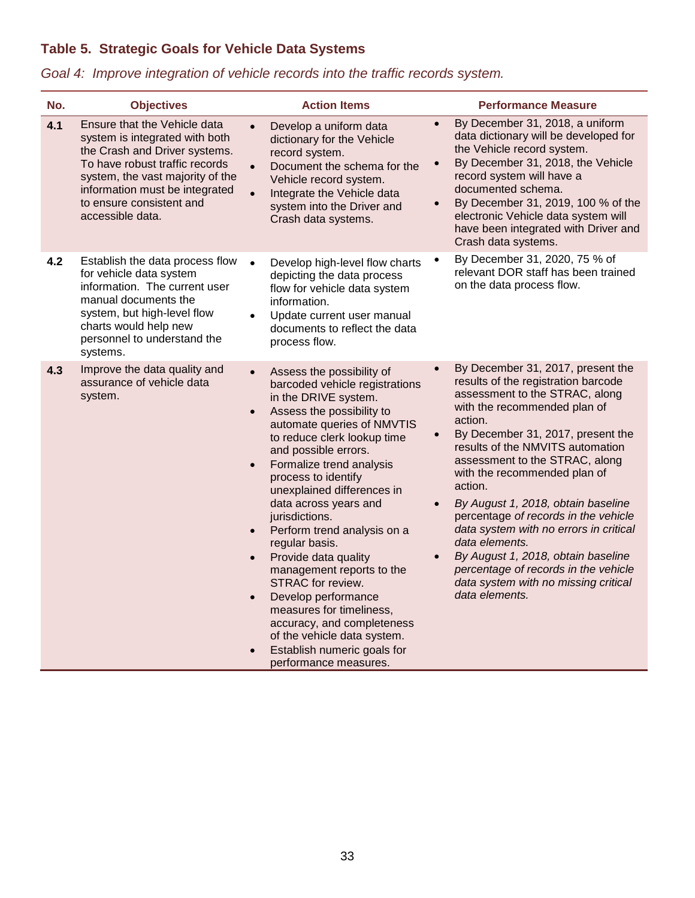# **Table 5. Strategic Goals for Vehicle Data Systems**

|  | Goal 4: Improve integration of vehicle records into the traffic records system. |
|--|---------------------------------------------------------------------------------|
|--|---------------------------------------------------------------------------------|

| No. | <b>Objectives</b>                                                                                                                                                                                                                                       | <b>Action Items</b>                                                                                                                                                                                                                                                                                                                                                                                                                                                                                                                                                                                                                                                                                                | <b>Performance Measure</b>                                                                                                                                                                                                                                                                                                                                                                                                                                                                                                                                                                                                           |
|-----|---------------------------------------------------------------------------------------------------------------------------------------------------------------------------------------------------------------------------------------------------------|--------------------------------------------------------------------------------------------------------------------------------------------------------------------------------------------------------------------------------------------------------------------------------------------------------------------------------------------------------------------------------------------------------------------------------------------------------------------------------------------------------------------------------------------------------------------------------------------------------------------------------------------------------------------------------------------------------------------|--------------------------------------------------------------------------------------------------------------------------------------------------------------------------------------------------------------------------------------------------------------------------------------------------------------------------------------------------------------------------------------------------------------------------------------------------------------------------------------------------------------------------------------------------------------------------------------------------------------------------------------|
| 4.1 | Ensure that the Vehicle data<br>system is integrated with both<br>the Crash and Driver systems.<br>To have robust traffic records<br>system, the vast majority of the<br>information must be integrated<br>to ensure consistent and<br>accessible data. | Develop a uniform data<br>$\bullet$<br>dictionary for the Vehicle<br>record system.<br>Document the schema for the<br>$\bullet$<br>Vehicle record system.<br>$\bullet$<br>Integrate the Vehicle data<br>system into the Driver and<br>Crash data systems.                                                                                                                                                                                                                                                                                                                                                                                                                                                          | By December 31, 2018, a uniform<br>$\bullet$<br>data dictionary will be developed for<br>the Vehicle record system.<br>By December 31, 2018, the Vehicle<br>$\bullet$<br>record system will have a<br>documented schema.<br>By December 31, 2019, 100 % of the<br>$\bullet$<br>electronic Vehicle data system will<br>have been integrated with Driver and<br>Crash data systems.                                                                                                                                                                                                                                                    |
| 4.2 | Establish the data process flow<br>for vehicle data system<br>information. The current user<br>manual documents the<br>system, but high-level flow<br>charts would help new<br>personnel to understand the<br>systems.                                  | Develop high-level flow charts<br>$\bullet$<br>depicting the data process<br>flow for vehicle data system<br>information.<br>Update current user manual<br>$\bullet$<br>documents to reflect the data<br>process flow.                                                                                                                                                                                                                                                                                                                                                                                                                                                                                             | By December 31, 2020, 75 % of<br>$\bullet$<br>relevant DOR staff has been trained<br>on the data process flow.                                                                                                                                                                                                                                                                                                                                                                                                                                                                                                                       |
| 4.3 | Improve the data quality and<br>assurance of vehicle data<br>system.                                                                                                                                                                                    | Assess the possibility of<br>$\bullet$<br>barcoded vehicle registrations<br>in the DRIVE system.<br>Assess the possibility to<br>$\bullet$<br>automate queries of NMVTIS<br>to reduce clerk lookup time<br>and possible errors.<br>Formalize trend analysis<br>$\bullet$<br>process to identify<br>unexplained differences in<br>data across years and<br>jurisdictions.<br>Perform trend analysis on a<br>$\bullet$<br>regular basis.<br>Provide data quality<br>$\bullet$<br>management reports to the<br>STRAC for review.<br>Develop performance<br>$\bullet$<br>measures for timeliness,<br>accuracy, and completeness<br>of the vehicle data system.<br>Establish numeric goals for<br>performance measures. | By December 31, 2017, present the<br>$\bullet$<br>results of the registration barcode<br>assessment to the STRAC, along<br>with the recommended plan of<br>action.<br>By December 31, 2017, present the<br>$\bullet$<br>results of the NMVITS automation<br>assessment to the STRAC, along<br>with the recommended plan of<br>action.<br>By August 1, 2018, obtain baseline<br>$\bullet$<br>percentage of records in the vehicle<br>data system with no errors in critical<br>data elements.<br>By August 1, 2018, obtain baseline<br>percentage of records in the vehicle<br>data system with no missing critical<br>data elements. |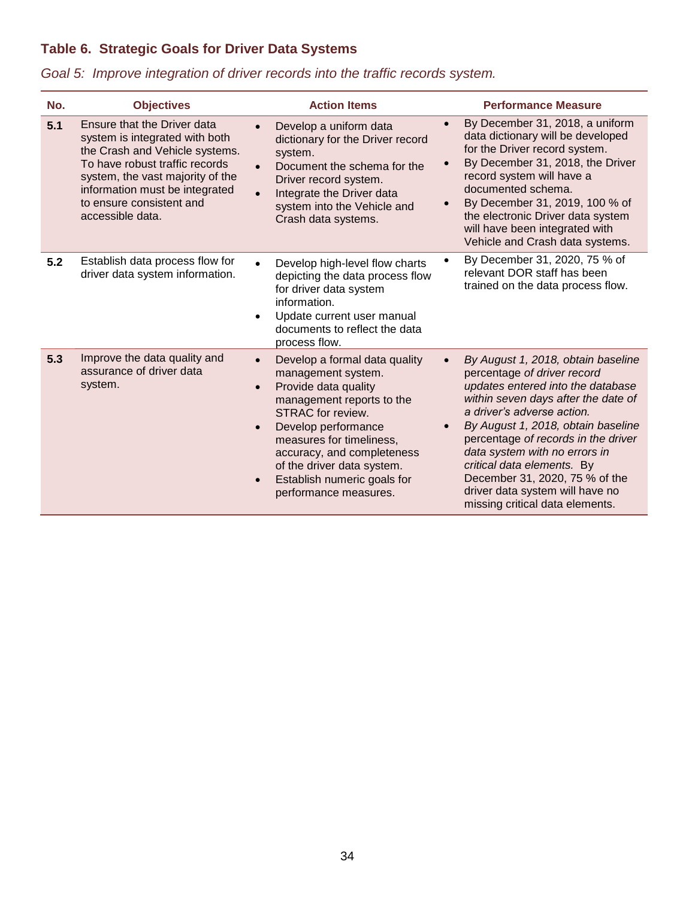# **Table 6. Strategic Goals for Driver Data Systems**

|  |  |  |  |  |  |  | Goal 5: Improve integration of driver records into the traffic records system. |
|--|--|--|--|--|--|--|--------------------------------------------------------------------------------|
|--|--|--|--|--|--|--|--------------------------------------------------------------------------------|

| No. | <b>Objectives</b>                                                                                                                                                                                                                                       | <b>Action Items</b>                                                                                                                                                                                                                                                                                                                                      | <b>Performance Measure</b>                                                                                                                                                                                                                                                                                                                                                                                                                                |
|-----|---------------------------------------------------------------------------------------------------------------------------------------------------------------------------------------------------------------------------------------------------------|----------------------------------------------------------------------------------------------------------------------------------------------------------------------------------------------------------------------------------------------------------------------------------------------------------------------------------------------------------|-----------------------------------------------------------------------------------------------------------------------------------------------------------------------------------------------------------------------------------------------------------------------------------------------------------------------------------------------------------------------------------------------------------------------------------------------------------|
| 5.1 | Ensure that the Driver data<br>system is integrated with both<br>the Crash and Vehicle systems.<br>To have robust traffic records<br>system, the vast majority of the<br>information must be integrated<br>to ensure consistent and<br>accessible data. | Develop a uniform data<br>dictionary for the Driver record<br>system.<br>Document the schema for the<br>Driver record system.<br>Integrate the Driver data<br>system into the Vehicle and<br>Crash data systems.                                                                                                                                         | By December 31, 2018, a uniform<br>$\bullet$<br>data dictionary will be developed<br>for the Driver record system.<br>By December 31, 2018, the Driver<br>$\bullet$<br>record system will have a<br>documented schema.<br>By December 31, 2019, 100 % of<br>$\bullet$<br>the electronic Driver data system<br>will have been integrated with<br>Vehicle and Crash data systems.                                                                           |
| 5.2 | Establish data process flow for<br>driver data system information.                                                                                                                                                                                      | Develop high-level flow charts<br>depicting the data process flow<br>for driver data system<br>information.<br>Update current user manual<br>$\bullet$<br>documents to reflect the data<br>process flow.                                                                                                                                                 | By December 31, 2020, 75 % of<br>$\bullet$<br>relevant DOR staff has been<br>trained on the data process flow.                                                                                                                                                                                                                                                                                                                                            |
| 5.3 | Improve the data quality and<br>assurance of driver data<br>system.                                                                                                                                                                                     | Develop a formal data quality<br>$\bullet$<br>management system.<br>Provide data quality<br>$\bullet$<br>management reports to the<br>STRAC for review.<br>Develop performance<br>$\bullet$<br>measures for timeliness,<br>accuracy, and completeness<br>of the driver data system.<br>Establish numeric goals for<br>$\bullet$<br>performance measures. | By August 1, 2018, obtain baseline<br>$\bullet$<br>percentage of driver record<br>updates entered into the database<br>within seven days after the date of<br>a driver's adverse action.<br>By August 1, 2018, obtain baseline<br>$\bullet$<br>percentage of records in the driver<br>data system with no errors in<br>critical data elements. By<br>December 31, 2020, 75 % of the<br>driver data system will have no<br>missing critical data elements. |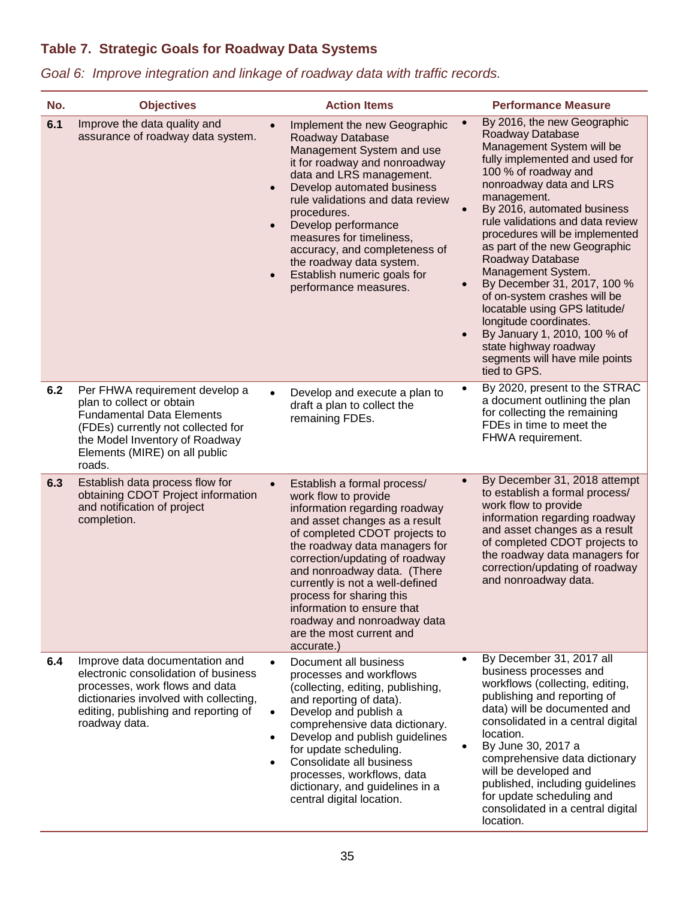# **Table 7. Strategic Goals for Roadway Data Systems**

| No. | <b>Objectives</b>                                                                                                                                                                                                  | <b>Action Items</b>                                                                                                                                                                                                                                                                                                                                                                                                                                     | <b>Performance Measure</b>                                                                                                                                                                                                                                                                                                                                                                                                                                                                                                                                                                                                                                |
|-----|--------------------------------------------------------------------------------------------------------------------------------------------------------------------------------------------------------------------|---------------------------------------------------------------------------------------------------------------------------------------------------------------------------------------------------------------------------------------------------------------------------------------------------------------------------------------------------------------------------------------------------------------------------------------------------------|-----------------------------------------------------------------------------------------------------------------------------------------------------------------------------------------------------------------------------------------------------------------------------------------------------------------------------------------------------------------------------------------------------------------------------------------------------------------------------------------------------------------------------------------------------------------------------------------------------------------------------------------------------------|
| 6.1 | Improve the data quality and<br>assurance of roadway data system.                                                                                                                                                  | Implement the new Geographic<br>$\bullet$<br>Roadway Database<br>Management System and use<br>it for roadway and nonroadway<br>data and LRS management.<br>Develop automated business<br>$\bullet$<br>rule validations and data review<br>procedures.<br>Develop performance<br>$\bullet$<br>measures for timeliness,<br>accuracy, and completeness of<br>the roadway data system.<br>Establish numeric goals for<br>$\bullet$<br>performance measures. | By 2016, the new Geographic<br>$\bullet$<br>Roadway Database<br>Management System will be<br>fully implemented and used for<br>100 % of roadway and<br>nonroadway data and LRS<br>management.<br>By 2016, automated business<br>$\bullet$<br>rule validations and data review<br>procedures will be implemented<br>as part of the new Geographic<br>Roadway Database<br>Management System.<br>By December 31, 2017, 100 %<br>$\bullet$<br>of on-system crashes will be<br>locatable using GPS latitude/<br>longitude coordinates.<br>By January 1, 2010, 100 % of<br>$\bullet$<br>state highway roadway<br>segments will have mile points<br>tied to GPS. |
| 6.2 | Per FHWA requirement develop a<br>plan to collect or obtain<br><b>Fundamental Data Elements</b><br>(FDEs) currently not collected for<br>the Model Inventory of Roadway<br>Elements (MIRE) on all public<br>roads. | Develop and execute a plan to<br>$\bullet$<br>draft a plan to collect the<br>remaining FDEs.                                                                                                                                                                                                                                                                                                                                                            | By 2020, present to the STRAC<br>$\bullet$<br>a document outlining the plan<br>for collecting the remaining<br>FDEs in time to meet the<br>FHWA requirement.                                                                                                                                                                                                                                                                                                                                                                                                                                                                                              |
| 6.3 | Establish data process flow for<br>obtaining CDOT Project information<br>and notification of project<br>completion.                                                                                                | Establish a formal process/<br>$\bullet$<br>work flow to provide<br>information regarding roadway<br>and asset changes as a result<br>of completed CDOT projects to<br>the roadway data managers for<br>correction/updating of roadway<br>and nonroadway data. (There<br>currently is not a well-defined<br>process for sharing this<br>information to ensure that<br>roadway and nonroadway data<br>are the most current and<br>accurate.)             | By December 31, 2018 attempt<br>$\bullet$<br>to establish a formal process/<br>work flow to provide<br>information regarding roadway<br>and asset changes as a result<br>of completed CDOT projects to<br>the roadway data managers for<br>correction/updating of roadway<br>and nonroadway data.                                                                                                                                                                                                                                                                                                                                                         |
| 6.4 | Improve data documentation and<br>electronic consolidation of business<br>processes, work flows and data<br>dictionaries involved with collecting,<br>editing, publishing and reporting of<br>roadway data.        | Document all business<br>$\bullet$<br>processes and workflows<br>(collecting, editing, publishing,<br>and reporting of data).<br>Develop and publish a<br>$\bullet$<br>comprehensive data dictionary.<br>Develop and publish guidelines<br>$\bullet$<br>for update scheduling.<br>Consolidate all business<br>$\bullet$<br>processes, workflows, data<br>dictionary, and guidelines in a<br>central digital location.                                   | By December 31, 2017 all<br>$\bullet$<br>business processes and<br>workflows (collecting, editing,<br>publishing and reporting of<br>data) will be documented and<br>consolidated in a central digital<br>location.<br>By June 30, 2017 a<br>comprehensive data dictionary<br>will be developed and<br>published, including guidelines<br>for update scheduling and<br>consolidated in a central digital<br>location.                                                                                                                                                                                                                                     |

*Goal 6: Improve integration and linkage of roadway data with traffic records.*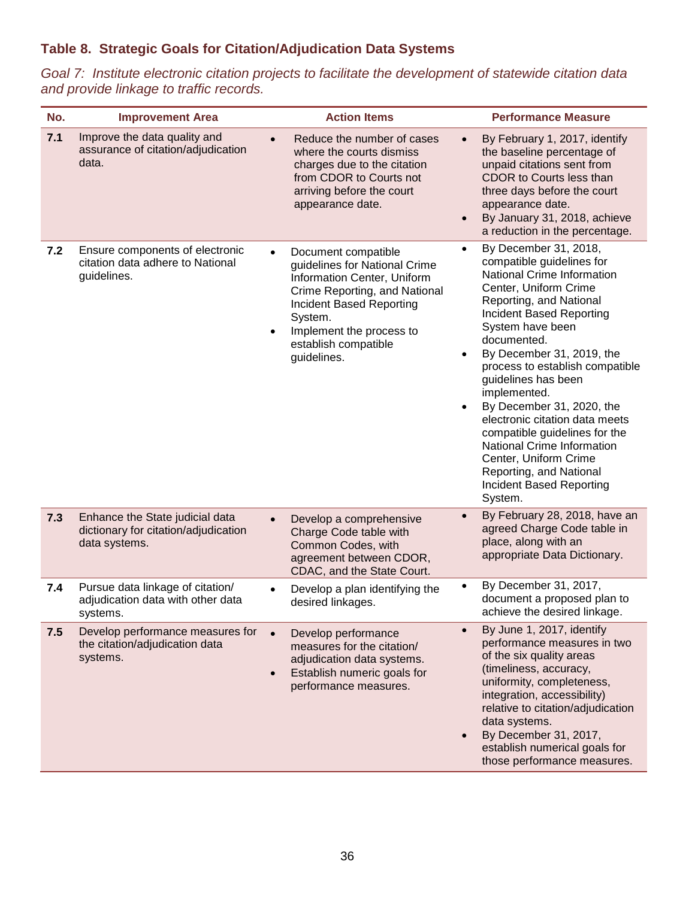## **Table 8. Strategic Goals for Citation/Adjudication Data Systems**

*Goal 7: Institute electronic citation projects to facilitate the development of statewide citation data and provide linkage to traffic records.*

| No. | <b>Improvement Area</b>                                                                  | <b>Action Items</b>                                                                                                                                                                                                                                      | <b>Performance Measure</b>                                                                                                                                                                                                                                                                                                                                                                                                                                                                                                                                                        |
|-----|------------------------------------------------------------------------------------------|----------------------------------------------------------------------------------------------------------------------------------------------------------------------------------------------------------------------------------------------------------|-----------------------------------------------------------------------------------------------------------------------------------------------------------------------------------------------------------------------------------------------------------------------------------------------------------------------------------------------------------------------------------------------------------------------------------------------------------------------------------------------------------------------------------------------------------------------------------|
| 7.1 | Improve the data quality and<br>assurance of citation/adjudication<br>data.              | Reduce the number of cases<br>where the courts dismiss<br>charges due to the citation<br>from CDOR to Courts not<br>arriving before the court<br>appearance date.                                                                                        | By February 1, 2017, identify<br>$\bullet$<br>the baseline percentage of<br>unpaid citations sent from<br>CDOR to Courts less than<br>three days before the court<br>appearance date.<br>By January 31, 2018, achieve<br>$\bullet$<br>a reduction in the percentage.                                                                                                                                                                                                                                                                                                              |
| 7.2 | Ensure components of electronic<br>citation data adhere to National<br>guidelines.       | Document compatible<br>$\bullet$<br>guidelines for National Crime<br>Information Center, Uniform<br>Crime Reporting, and National<br>Incident Based Reporting<br>System.<br>Implement the process to<br>$\bullet$<br>establish compatible<br>guidelines. | By December 31, 2018,<br>$\bullet$<br>compatible guidelines for<br>National Crime Information<br>Center, Uniform Crime<br>Reporting, and National<br>Incident Based Reporting<br>System have been<br>documented.<br>By December 31, 2019, the<br>$\bullet$<br>process to establish compatible<br>guidelines has been<br>implemented.<br>By December 31, 2020, the<br>$\bullet$<br>electronic citation data meets<br>compatible guidelines for the<br><b>National Crime Information</b><br>Center, Uniform Crime<br>Reporting, and National<br>Incident Based Reporting<br>System. |
| 7.3 | Enhance the State judicial data<br>dictionary for citation/adjudication<br>data systems. | Develop a comprehensive<br>$\bullet$<br>Charge Code table with<br>Common Codes, with<br>agreement between CDOR,<br>CDAC, and the State Court.                                                                                                            | By February 28, 2018, have an<br>$\bullet$<br>agreed Charge Code table in<br>place, along with an<br>appropriate Data Dictionary.                                                                                                                                                                                                                                                                                                                                                                                                                                                 |
| 7.4 | Pursue data linkage of citation/<br>adjudication data with other data<br>systems.        | Develop a plan identifying the<br>desired linkages.                                                                                                                                                                                                      | By December 31, 2017,<br>$\bullet$<br>document a proposed plan to<br>achieve the desired linkage.                                                                                                                                                                                                                                                                                                                                                                                                                                                                                 |
| 7.5 | Develop performance measures for<br>the citation/adjudication data<br>systems.           | Develop performance<br>measures for the citation/<br>adjudication data systems.<br>Establish numeric goals for<br>performance measures.                                                                                                                  | By June 1, 2017, identify<br>$\bullet$<br>performance measures in two<br>of the six quality areas<br>(timeliness, accuracy,<br>uniformity, completeness,<br>integration, accessibility)<br>relative to citation/adjudication<br>data systems.<br>By December 31, 2017,<br>$\bullet$<br>establish numerical goals for<br>those performance measures.                                                                                                                                                                                                                               |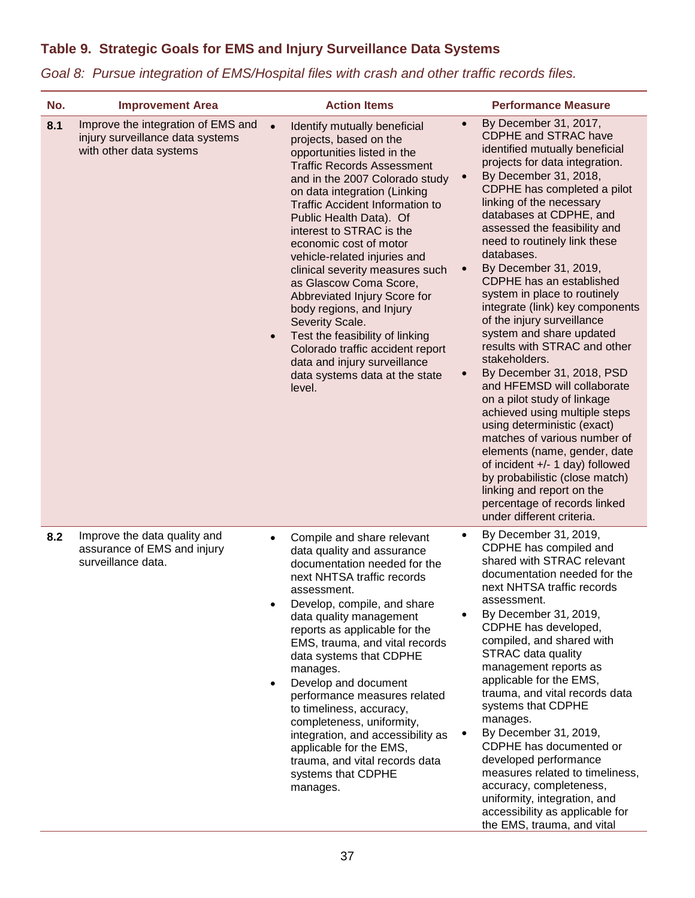## **Table 9. Strategic Goals for EMS and Injury Surveillance Data Systems**

| No. | <b>Improvement Area</b>                                                                           | <b>Action Items</b>                                                                                                                                                                                                                                                                                                                                                                                                                                                                                                                                                                                                                                                 | <b>Performance Measure</b>                                                                                                                                                                                                                                                                                                                                                                                                                                                                                                                                                                                                                                                                                                                                                                                                                                                                                                                                                                             |
|-----|---------------------------------------------------------------------------------------------------|---------------------------------------------------------------------------------------------------------------------------------------------------------------------------------------------------------------------------------------------------------------------------------------------------------------------------------------------------------------------------------------------------------------------------------------------------------------------------------------------------------------------------------------------------------------------------------------------------------------------------------------------------------------------|--------------------------------------------------------------------------------------------------------------------------------------------------------------------------------------------------------------------------------------------------------------------------------------------------------------------------------------------------------------------------------------------------------------------------------------------------------------------------------------------------------------------------------------------------------------------------------------------------------------------------------------------------------------------------------------------------------------------------------------------------------------------------------------------------------------------------------------------------------------------------------------------------------------------------------------------------------------------------------------------------------|
| 8.1 | Improve the integration of EMS and<br>injury surveillance data systems<br>with other data systems | Identify mutually beneficial<br>projects, based on the<br>opportunities listed in the<br><b>Traffic Records Assessment</b><br>and in the 2007 Colorado study<br>on data integration (Linking<br><b>Traffic Accident Information to</b><br>Public Health Data). Of<br>interest to STRAC is the<br>economic cost of motor<br>vehicle-related injuries and<br>clinical severity measures such<br>as Glascow Coma Score,<br>Abbreviated Injury Score for<br>body regions, and Injury<br>Severity Scale.<br>Test the feasibility of linking<br>$\bullet$<br>Colorado traffic accident report<br>data and injury surveillance<br>data systems data at the state<br>level. | By December 31, 2017,<br>$\bullet$<br><b>CDPHE and STRAC have</b><br>identified mutually beneficial<br>projects for data integration.<br>By December 31, 2018,<br>$\bullet$<br>CDPHE has completed a pilot<br>linking of the necessary<br>databases at CDPHE, and<br>assessed the feasibility and<br>need to routinely link these<br>databases.<br>By December 31, 2019,<br>$\bullet$<br>CDPHE has an established<br>system in place to routinely<br>integrate (link) key components<br>of the injury surveillance<br>system and share updated<br>results with STRAC and other<br>stakeholders.<br>By December 31, 2018, PSD<br>$\bullet$<br>and HFEMSD will collaborate<br>on a pilot study of linkage<br>achieved using multiple steps<br>using deterministic (exact)<br>matches of various number of<br>elements (name, gender, date<br>of incident +/- 1 day) followed<br>by probabilistic (close match)<br>linking and report on the<br>percentage of records linked<br>under different criteria. |
| 8.2 | Improve the data quality and<br>assurance of EMS and injury<br>surveillance data.                 | Compile and share relevant<br>$\bullet$<br>data quality and assurance<br>documentation needed for the<br>next NHTSA traffic records<br>assessment.<br>Develop, compile, and share<br>data quality management<br>reports as applicable for the<br>EMS, trauma, and vital records<br>data systems that CDPHE<br>manages.<br>Develop and document<br>performance measures related<br>to timeliness, accuracy,<br>completeness, uniformity,<br>integration, and accessibility as<br>applicable for the EMS,<br>trauma, and vital records data<br>systems that CDPHE<br>manages.                                                                                         | By December 31, 2019,<br>$\bullet$<br>CDPHE has compiled and<br>shared with STRAC relevant<br>documentation needed for the<br>next NHTSA traffic records<br>assessment.<br>By December 31, 2019,<br>CDPHE has developed,<br>compiled, and shared with<br><b>STRAC data quality</b><br>management reports as<br>applicable for the EMS,<br>trauma, and vital records data<br>systems that CDPHE<br>manages.<br>By December 31, 2019,<br>$\bullet$<br>CDPHE has documented or<br>developed performance<br>measures related to timeliness,<br>accuracy, completeness,<br>uniformity, integration, and<br>accessibility as applicable for<br>the EMS, trauma, and vital                                                                                                                                                                                                                                                                                                                                    |

*Goal 8: Pursue integration of EMS/Hospital files with crash and other traffic records files.*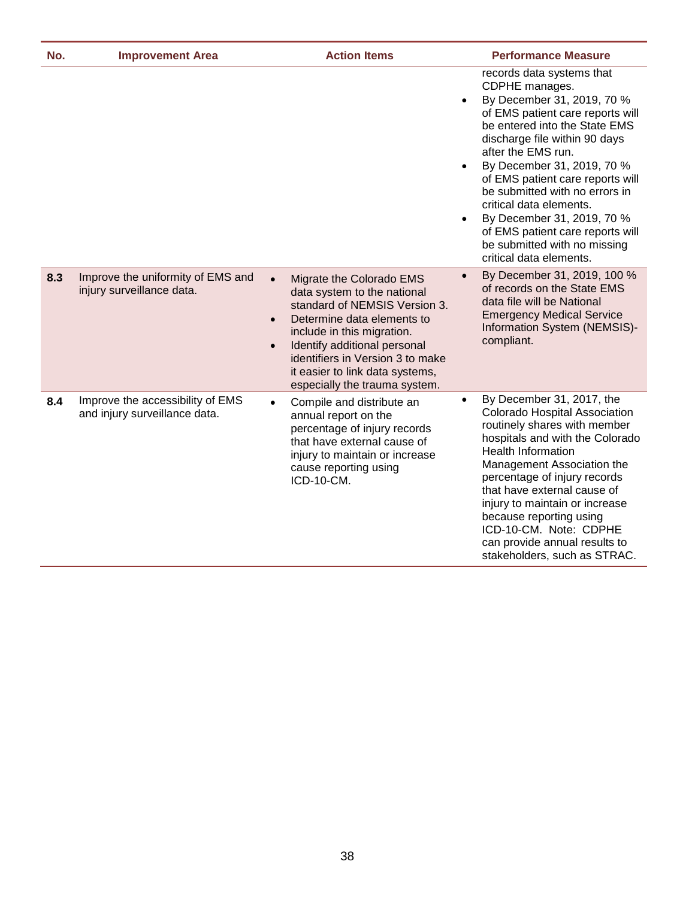| No. | <b>Improvement Area</b>                                           | <b>Action Items</b>                                                                                                                                                                                                                                                                                                                 | <b>Performance Measure</b>                                                                                                                                                                                                                                                                                                                                                                                                                                                                               |
|-----|-------------------------------------------------------------------|-------------------------------------------------------------------------------------------------------------------------------------------------------------------------------------------------------------------------------------------------------------------------------------------------------------------------------------|----------------------------------------------------------------------------------------------------------------------------------------------------------------------------------------------------------------------------------------------------------------------------------------------------------------------------------------------------------------------------------------------------------------------------------------------------------------------------------------------------------|
|     |                                                                   |                                                                                                                                                                                                                                                                                                                                     | records data systems that<br>CDPHE manages.<br>By December 31, 2019, 70 %<br>$\bullet$<br>of EMS patient care reports will<br>be entered into the State EMS<br>discharge file within 90 days<br>after the EMS run.<br>By December 31, 2019, 70 %<br>$\bullet$<br>of EMS patient care reports will<br>be submitted with no errors in<br>critical data elements.<br>By December 31, 2019, 70 %<br>$\bullet$<br>of EMS patient care reports will<br>be submitted with no missing<br>critical data elements. |
| 8.3 | Improve the uniformity of EMS and<br>injury surveillance data.    | Migrate the Colorado EMS<br>$\bullet$<br>data system to the national<br>standard of NEMSIS Version 3.<br>Determine data elements to<br>$\bullet$<br>include in this migration.<br>Identify additional personal<br>$\bullet$<br>identifiers in Version 3 to make<br>it easier to link data systems,<br>especially the trauma system. | By December 31, 2019, 100 %<br>$\bullet$<br>of records on the State EMS<br>data file will be National<br><b>Emergency Medical Service</b><br>Information System (NEMSIS)-<br>compliant.                                                                                                                                                                                                                                                                                                                  |
| 8.4 | Improve the accessibility of EMS<br>and injury surveillance data. | Compile and distribute an<br>$\bullet$<br>annual report on the<br>percentage of injury records<br>that have external cause of<br>injury to maintain or increase<br>cause reporting using<br>ICD-10-CM.                                                                                                                              | By December 31, 2017, the<br>$\bullet$<br>Colorado Hospital Association<br>routinely shares with member<br>hospitals and with the Colorado<br><b>Health Information</b><br>Management Association the<br>percentage of injury records<br>that have external cause of<br>injury to maintain or increase<br>because reporting using<br>ICD-10-CM. Note: CDPHE<br>can provide annual results to<br>stakeholders, such as STRAC.                                                                             |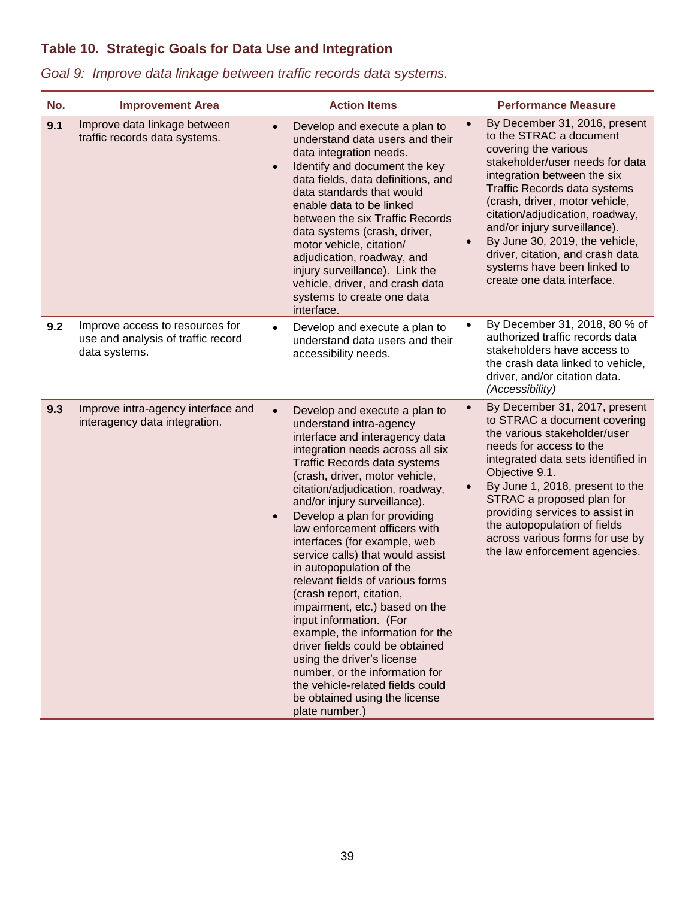# **Table 10. Strategic Goals for Data Use and Integration**

| No. | <b>Improvement Area</b>                                                                |                        | <b>Action Items</b>                                                                                                                                                                                                                                                                                                                                                                                                                                                                                                                                                                                                                                                                                                                                                                             |                        | <b>Performance Measure</b>                                                                                                                                                                                                                                                                                                                                                                                                 |
|-----|----------------------------------------------------------------------------------------|------------------------|-------------------------------------------------------------------------------------------------------------------------------------------------------------------------------------------------------------------------------------------------------------------------------------------------------------------------------------------------------------------------------------------------------------------------------------------------------------------------------------------------------------------------------------------------------------------------------------------------------------------------------------------------------------------------------------------------------------------------------------------------------------------------------------------------|------------------------|----------------------------------------------------------------------------------------------------------------------------------------------------------------------------------------------------------------------------------------------------------------------------------------------------------------------------------------------------------------------------------------------------------------------------|
| 9.1 | Improve data linkage between<br>traffic records data systems.                          | $\bullet$<br>$\bullet$ | Develop and execute a plan to<br>understand data users and their<br>data integration needs.<br>Identify and document the key<br>data fields, data definitions, and<br>data standards that would<br>enable data to be linked<br>between the six Traffic Records<br>data systems (crash, driver,<br>motor vehicle, citation/<br>adjudication, roadway, and<br>injury surveillance). Link the<br>vehicle, driver, and crash data<br>systems to create one data<br>interface.                                                                                                                                                                                                                                                                                                                       | $\bullet$              | By December 31, 2016, present<br>to the STRAC a document<br>covering the various<br>stakeholder/user needs for data<br>integration between the six<br>Traffic Records data systems<br>(crash, driver, motor vehicle,<br>citation/adjudication, roadway,<br>and/or injury surveillance).<br>By June 30, 2019, the vehicle,<br>driver, citation, and crash data<br>systems have been linked to<br>create one data interface. |
| 9.2 | Improve access to resources for<br>use and analysis of traffic record<br>data systems. | $\bullet$              | Develop and execute a plan to<br>understand data users and their<br>accessibility needs.                                                                                                                                                                                                                                                                                                                                                                                                                                                                                                                                                                                                                                                                                                        | $\bullet$              | By December 31, 2018, 80 % of<br>authorized traffic records data<br>stakeholders have access to<br>the crash data linked to vehicle,<br>driver, and/or citation data.<br>(Accessibility)                                                                                                                                                                                                                                   |
| 9.3 | Improve intra-agency interface and<br>interagency data integration.                    | $\bullet$<br>$\bullet$ | Develop and execute a plan to<br>understand intra-agency<br>interface and interagency data<br>integration needs across all six<br>Traffic Records data systems<br>(crash, driver, motor vehicle,<br>citation/adjudication, roadway,<br>and/or injury surveillance).<br>Develop a plan for providing<br>law enforcement officers with<br>interfaces (for example, web<br>service calls) that would assist<br>in autopopulation of the<br>relevant fields of various forms<br>(crash report, citation,<br>impairment, etc.) based on the<br>input information. (For<br>example, the information for the<br>driver fields could be obtained<br>using the driver's license<br>number, or the information for<br>the vehicle-related fields could<br>be obtained using the license<br>plate number.) | $\bullet$<br>$\bullet$ | By December 31, 2017, present<br>to STRAC a document covering<br>the various stakeholder/user<br>needs for access to the<br>integrated data sets identified in<br>Objective 9.1.<br>By June 1, 2018, present to the<br>STRAC a proposed plan for<br>providing services to assist in<br>the autopopulation of fields<br>across various forms for use by<br>the law enforcement agencies.                                    |

# *Goal 9: Improve data linkage between traffic records data systems.*